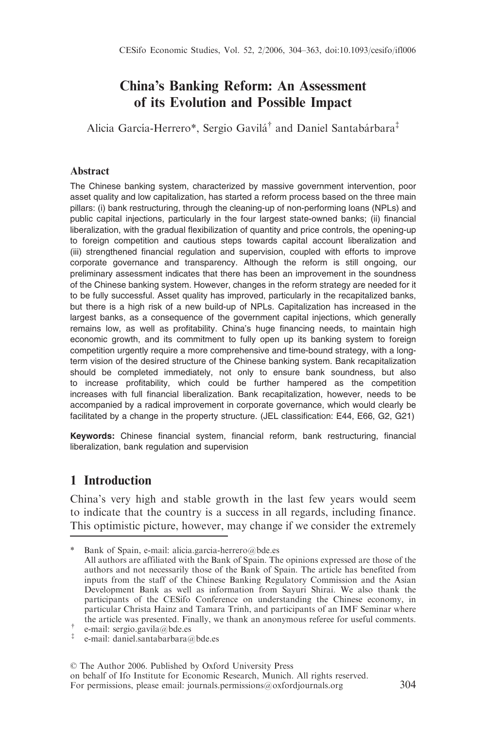# China's Banking Reform: An Assessment of its Evolution and Possible Impact

Alicia García-Herrero\*, Sergio Gavilá<sup>†</sup> and Daniel Santabárbara<sup>‡</sup>

#### Abstract

The Chinese banking system, characterized by massive government intervention, poor asset quality and low capitalization, has started a reform process based on the three main pillars: (i) bank restructuring, through the cleaning-up of non-performing loans (NPLs) and public capital injections, particularly in the four largest state-owned banks; (ii) financial liberalization, with the gradual flexibilization of quantity and price controls, the opening-up to foreign competition and cautious steps towards capital account liberalization and (iii) strengthened financial regulation and supervision, coupled with efforts to improve corporate governance and transparency. Although the reform is still ongoing, our preliminary assessment indicates that there has been an improvement in the soundness of the Chinese banking system. However, changes in the reform strategy are needed for it to be fully successful. Asset quality has improved, particularly in the recapitalized banks, but there is a high risk of a new build-up of NPLs. Capitalization has increased in the largest banks, as a consequence of the government capital injections, which generally remains low, as well as profitability. China's huge financing needs, to maintain high economic growth, and its commitment to fully open up its banking system to foreign competition urgently require a more comprehensive and time-bound strategy, with a longterm vision of the desired structure of the Chinese banking system. Bank recapitalization should be completed immediately, not only to ensure bank soundness, but also to increase profitability, which could be further hampered as the competition increases with full financial liberalization. Bank recapitalization, however, needs to be accompanied by a radical improvement in corporate governance, which would clearly be facilitated by a change in the property structure. (JEL classification: E44, E66, G2, G21)

Keywords: Chinese financial system, financial reform, bank restructuring, financial liberalization, bank regulation and supervision

# 1 Introduction

China's very high and stable growth in the last few years would seem to indicate that the country is a success in all regards, including finance. This optimistic picture, however, may change if we consider the extremely

The Author 2006. Published by Oxford University Press

on behalf of Ifo Institute for Economic Research, Munich. All rights reserved. For permissions, please email: journals.permissions@oxfordjournals.org 304

Bank of Spain, e-mail: alicia.garcia-herrero@bde.es All authors are affiliated with the Bank of Spain. The opinions expressed are those of the authors and not necessarily those of the Bank of Spain. The article has benefited from inputs from the staff of the Chinese Banking Regulatory Commission and the Asian Development Bank as well as information from Sayuri Shirai. We also thank the participants of the CESifo Conference on understanding the Chinese economy, in particular Christa Hainz and Tamara Trinh, and participants of an IMF Seminar where the article was presented. Finally, we thank an anonymous referee for useful comments.<br>
<sup>†</sup> e-mail: sergio.gavila@bde.es <br>
<sup>‡</sup> e-mail: daniel.santabarbara@bde.es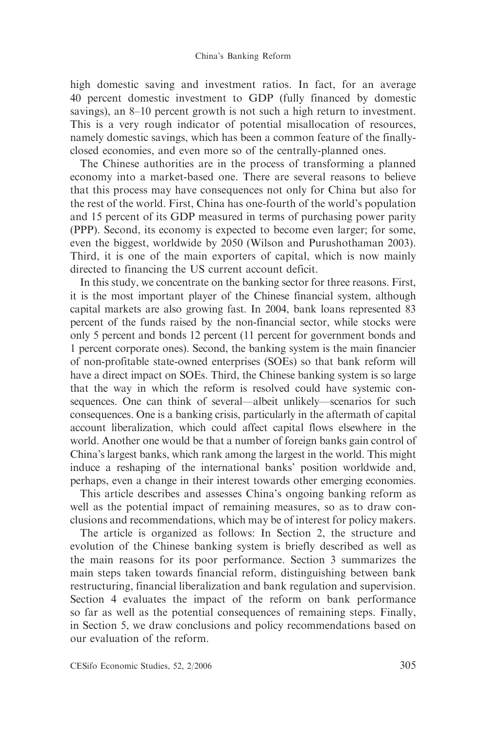high domestic saving and investment ratios. In fact, for an average 40 percent domestic investment to GDP (fully financed by domestic savings), an 8–10 percent growth is not such a high return to investment. This is a very rough indicator of potential misallocation of resources, namely domestic savings, which has been a common feature of the finallyclosed economies, and even more so of the centrally-planned ones.

The Chinese authorities are in the process of transforming a planned economy into a market-based one. There are several reasons to believe that this process may have consequences not only for China but also for the rest of the world. First, China has one-fourth of the world's population and 15 percent of its GDP measured in terms of purchasing power parity (PPP). Second, its economy is expected to become even larger; for some, even the biggest, worldwide by 2050 (Wilson and Purushothaman 2003). Third, it is one of the main exporters of capital, which is now mainly directed to financing the US current account deficit.

In this study, we concentrate on the banking sector for three reasons. First, it is the most important player of the Chinese financial system, although capital markets are also growing fast. In 2004, bank loans represented 83 percent of the funds raised by the non-financial sector, while stocks were only 5 percent and bonds 12 percent (11 percent for government bonds and 1 percent corporate ones). Second, the banking system is the main financier of non-profitable state-owned enterprises (SOEs) so that bank reform will have a direct impact on SOEs. Third, the Chinese banking system is so large that the way in which the reform is resolved could have systemic consequences. One can think of several—albeit unlikely—scenarios for such consequences. One is a banking crisis, particularly in the aftermath of capital account liberalization, which could affect capital flows elsewhere in the world. Another one would be that a number of foreign banks gain control of China's largest banks, which rank among the largest in the world. This might induce a reshaping of the international banks' position worldwide and, perhaps, even a change in their interest towards other emerging economies.

This article describes and assesses China's ongoing banking reform as well as the potential impact of remaining measures, so as to draw conclusions and recommendations, which may be of interest for policy makers.

The article is organized as follows: In Section 2, the structure and evolution of the Chinese banking system is briefly described as well as the main reasons for its poor performance. Section 3 summarizes the main steps taken towards financial reform, distinguishing between bank restructuring, financial liberalization and bank regulation and supervision. Section 4 evaluates the impact of the reform on bank performance so far as well as the potential consequences of remaining steps. Finally, in Section 5, we draw conclusions and policy recommendations based on our evaluation of the reform.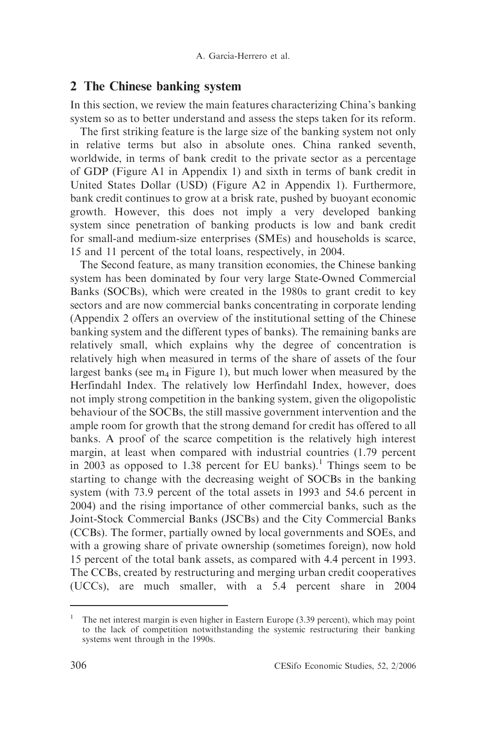## 2 The Chinese banking system

In this section, we review the main features characterizing China's banking system so as to better understand and assess the steps taken for its reform.

The first striking feature is the large size of the banking system not only in relative terms but also in absolute ones. China ranked seventh, worldwide, in terms of bank credit to the private sector as a percentage of GDP (Figure A1 in Appendix 1) and sixth in terms of bank credit in United States Dollar (USD) (Figure A2 in Appendix 1). Furthermore, bank credit continues to grow at a brisk rate, pushed by buoyant economic growth. However, this does not imply a very developed banking system since penetration of banking products is low and bank credit for small-and medium-size enterprises (SMEs) and households is scarce, 15 and 11 percent of the total loans, respectively, in 2004.

The Second feature, as many transition economies, the Chinese banking system has been dominated by four very large State-Owned Commercial Banks (SOCBs), which were created in the 1980s to grant credit to key sectors and are now commercial banks concentrating in corporate lending (Appendix 2 offers an overview of the institutional setting of the Chinese banking system and the different types of banks). The remaining banks are relatively small, which explains why the degree of concentration is relatively high when measured in terms of the share of assets of the four largest banks (see  $m_4$  in Figure 1), but much lower when measured by the Herfindahl Index. The relatively low Herfindahl Index, however, does not imply strong competition in the banking system, given the oligopolistic behaviour of the SOCBs, the still massive government intervention and the ample room for growth that the strong demand for credit has offered to all banks. A proof of the scarce competition is the relatively high interest margin, at least when compared with industrial countries (1.79 percent in 2003 as opposed to 1.38 percent for EU banks).<sup>1</sup> Things seem to be starting to change with the decreasing weight of SOCBs in the banking system (with 73.9 percent of the total assets in 1993 and 54.6 percent in 2004) and the rising importance of other commercial banks, such as the Joint-Stock Commercial Banks (JSCBs) and the City Commercial Banks (CCBs). The former, partially owned by local governments and SOEs, and with a growing share of private ownership (sometimes foreign), now hold 15 percent of the total bank assets, as compared with 4.4 percent in 1993. The CCBs, created by restructuring and merging urban credit cooperatives (UCCs), are much smaller, with a 5.4 percent share in 2004

<sup>1</sup> The net interest margin is even higher in Eastern Europe (3.39 percent), which may point to the lack of competition notwithstanding the systemic restructuring their banking systems went through in the 1990s.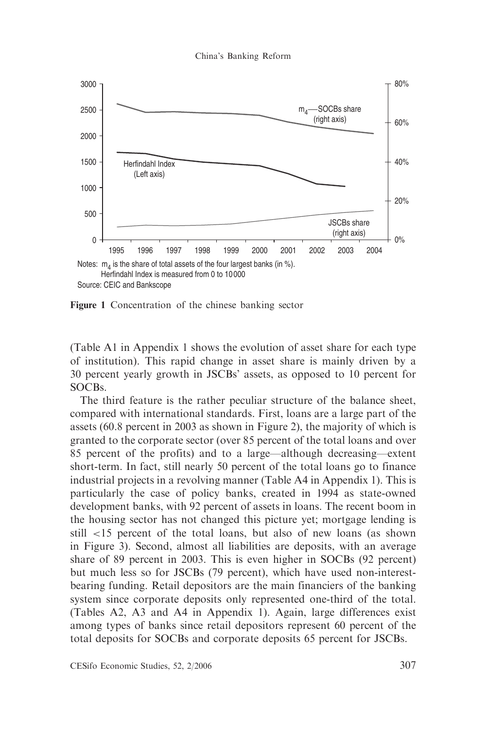



Figure 1 Concentration of the chinese banking sector

(Table A1 in Appendix 1 shows the evolution of asset share for each type of institution). This rapid change in asset share is mainly driven by a 30 percent yearly growth in JSCBs' assets, as opposed to 10 percent for SOCBs.

The third feature is the rather peculiar structure of the balance sheet, compared with international standards. First, loans are a large part of the assets (60.8 percent in 2003 as shown in Figure 2), the majority of which is granted to the corporate sector (over 85 percent of the total loans and over 85 percent of the profits) and to a large—although decreasing—extent short-term. In fact, still nearly 50 percent of the total loans go to finance industrial projects in a revolving manner (Table A4 in Appendix 1). This is particularly the case of policy banks, created in 1994 as state-owned development banks, with 92 percent of assets in loans. The recent boom in the housing sector has not changed this picture yet; mortgage lending is still <15 percent of the total loans, but also of new loans (as shown in Figure 3). Second, almost all liabilities are deposits, with an average share of 89 percent in 2003. This is even higher in SOCBs (92 percent) but much less so for JSCBs (79 percent), which have used non-interestbearing funding. Retail depositors are the main financiers of the banking system since corporate deposits only represented one-third of the total. (Tables A2, A3 and A4 in Appendix 1). Again, large differences exist among types of banks since retail depositors represent 60 percent of the total deposits for SOCBs and corporate deposits 65 percent for JSCBs.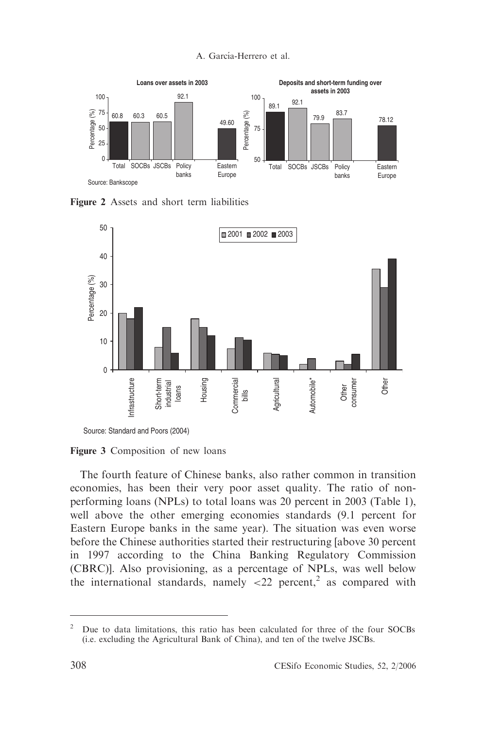A. García-Herrero et al.



Figure 2 Assets and short term liabilities



Source: Standard and Poors (2004)

Figure 3 Composition of new loans

The fourth feature of Chinese banks, also rather common in transition economies, has been their very poor asset quality. The ratio of nonperforming loans (NPLs) to total loans was 20 percent in 2003 (Table 1), well above the other emerging economies standards (9.1 percent for Eastern Europe banks in the same year). The situation was even worse before the Chinese authorities started their restructuring [above 30 percent in 1997 according to the China Banking Regulatory Commission (CBRC)]. Also provisioning, as a percentage of NPLs, was well below the international standards, namely  $\langle 22 \rangle$  percent,<sup>2</sup> as compared with

<sup>&</sup>lt;sup>2</sup> Due to data limitations, this ratio has been calculated for three of the four SOCBs (i.e. excluding the Agricultural Bank of China), and ten of the twelve JSCBs.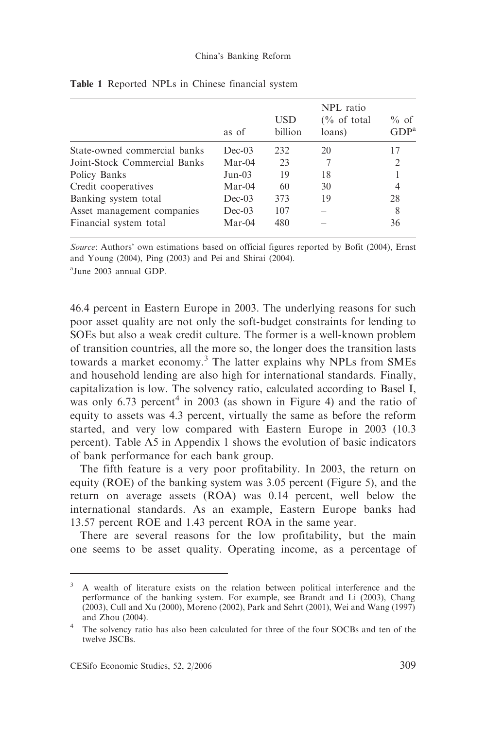|                              | as of    | <b>USD</b><br>billion | NPL ratio<br>$\frac{6}{6}$ of total<br>loans) | $%$ of<br>GDP <sup>a</sup> |
|------------------------------|----------|-----------------------|-----------------------------------------------|----------------------------|
| State-owned commercial banks | $Dec-03$ | 232                   | 20                                            | 17                         |
| Joint-Stock Commercial Banks | $Mar-04$ | 23                    | 7                                             | $\overline{2}$             |
| Policy Banks                 | $Jun-03$ | 19                    | 18                                            |                            |
| Credit cooperatives          | $Mar-04$ | 60                    | 30                                            | 4                          |
| Banking system total         | $Dec-03$ | 373                   | 19                                            | 28                         |
| Asset management companies   | $Dec-03$ | 107                   |                                               | 8                          |
| Financial system total       | $Mar-04$ | 480                   |                                               | 36                         |

Table 1 Reported NPLs in Chinese financial system

Source: Authors' own estimations based on official figures reported by Bofit (2004), Ernst and Young (2004), Ping (2003) and Pei and Shirai (2004).

a June 2003 annual GDP.

46.4 percent in Eastern Europe in 2003. The underlying reasons for such poor asset quality are not only the soft-budget constraints for lending to SOEs but also a weak credit culture. The former is a well-known problem of transition countries, all the more so, the longer does the transition lasts towards a market economy.<sup>3</sup> The latter explains why NPLs from SMEs and household lending are also high for international standards. Finally, capitalization is low. The solvency ratio, calculated according to Basel I, was only 6.73 percent<sup>4</sup> in 2003 (as shown in Figure 4) and the ratio of equity to assets was 4.3 percent, virtually the same as before the reform started, and very low compared with Eastern Europe in 2003 (10.3 percent). Table A5 in Appendix 1 shows the evolution of basic indicators of bank performance for each bank group.

The fifth feature is a very poor profitability. In 2003, the return on equity (ROE) of the banking system was 3.05 percent (Figure 5), and the return on average assets (ROA) was 0.14 percent, well below the international standards. As an example, Eastern Europe banks had 13.57 percent ROE and 1.43 percent ROA in the same year.

There are several reasons for the low profitability, but the main one seems to be asset quality. Operating income, as a percentage of

<sup>&</sup>lt;sup>3</sup> A wealth of literature exists on the relation between political interference and the performance of the banking system. For example, see Brandt and Li (2003), Chang (2003), Cull and Xu (2000), Moreno (2002), Park and Sehrt (2001), Wei and Wang (1997) and Zhou (2004).

<sup>&</sup>lt;sup>4</sup> The solvency ratio has also been calculated for three of the four SOCBs and ten of the twelve JSCBs.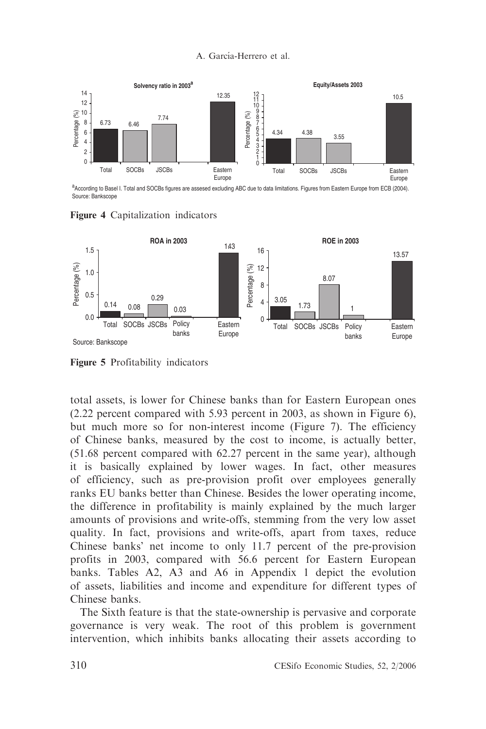#### A. García-Herrero et al.



a<br>According to Basel I. Total and SOCBs figures are assesed excluding ABC due to data limitations. Figures from Eastern Europe from ECB (2004). Source: Bankscope





Figure 5 Profitability indicators

total assets, is lower for Chinese banks than for Eastern European ones (2.22 percent compared with 5.93 percent in 2003, as shown in Figure 6), but much more so for non-interest income (Figure 7). The efficiency of Chinese banks, measured by the cost to income, is actually better, (51.68 percent compared with 62.27 percent in the same year), although it is basically explained by lower wages. In fact, other measures of efficiency, such as pre-provision profit over employees generally ranks EU banks better than Chinese. Besides the lower operating income, the difference in profitability is mainly explained by the much larger amounts of provisions and write-offs, stemming from the very low asset quality. In fact, provisions and write-offs, apart from taxes, reduce Chinese banks' net income to only 11.7 percent of the pre-provision profits in 2003, compared with 56.6 percent for Eastern European banks. Tables A2, A3 and A6 in Appendix 1 depict the evolution of assets, liabilities and income and expenditure for different types of Chinese banks.

The Sixth feature is that the state-ownership is pervasive and corporate governance is very weak. The root of this problem is government intervention, which inhibits banks allocating their assets according to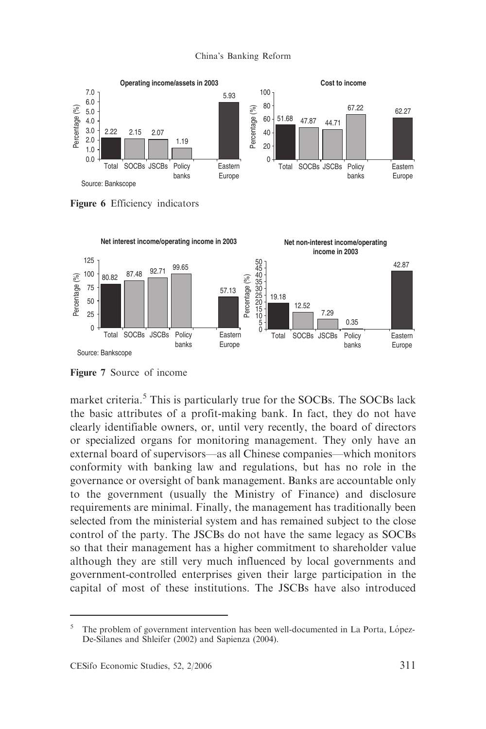#### China's Banking Reform



Figure 6 Efficiency indicators



Figure 7 Source of income

market criteria.<sup>5</sup> This is particularly true for the SOCBs. The SOCBs lack the basic attributes of a profit-making bank. In fact, they do not have clearly identifiable owners, or, until very recently, the board of directors or specialized organs for monitoring management. They only have an external board of supervisors—as all Chinese companies—which monitors conformity with banking law and regulations, but has no role in the governance or oversight of bank management. Banks are accountable only to the government (usually the Ministry of Finance) and disclosure requirements are minimal. Finally, the management has traditionally been selected from the ministerial system and has remained subject to the close control of the party. The JSCBs do not have the same legacy as SOCBs so that their management has a higher commitment to shareholder value although they are still very much influenced by local governments and government-controlled enterprises given their large participation in the capital of most of these institutions. The JSCBs have also introduced

 $5$  The problem of government intervention has been well-documented in La Porta, López-De-Silanes and Shleifer (2002) and Sapienza (2004).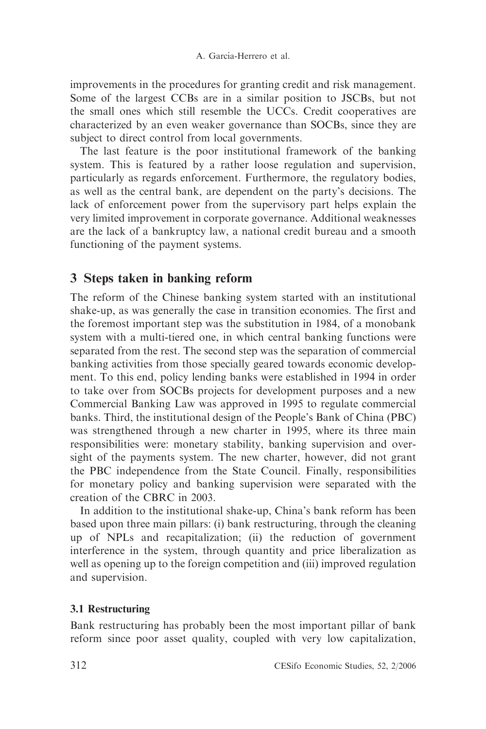improvements in the procedures for granting credit and risk management. Some of the largest CCBs are in a similar position to JSCBs, but not the small ones which still resemble the UCCs. Credit cooperatives are characterized by an even weaker governance than SOCBs, since they are subject to direct control from local governments.

The last feature is the poor institutional framework of the banking system. This is featured by a rather loose regulation and supervision, particularly as regards enforcement. Furthermore, the regulatory bodies, as well as the central bank, are dependent on the party's decisions. The lack of enforcement power from the supervisory part helps explain the very limited improvement in corporate governance. Additional weaknesses are the lack of a bankruptcy law, a national credit bureau and a smooth functioning of the payment systems.

# 3 Steps taken in banking reform

The reform of the Chinese banking system started with an institutional shake-up, as was generally the case in transition economies. The first and the foremost important step was the substitution in 1984, of a monobank system with a multi-tiered one, in which central banking functions were separated from the rest. The second step was the separation of commercial banking activities from those specially geared towards economic development. To this end, policy lending banks were established in 1994 in order to take over from SOCBs projects for development purposes and a new Commercial Banking Law was approved in 1995 to regulate commercial banks. Third, the institutional design of the People's Bank of China (PBC) was strengthened through a new charter in 1995, where its three main responsibilities were: monetary stability, banking supervision and oversight of the payments system. The new charter, however, did not grant the PBC independence from the State Council. Finally, responsibilities for monetary policy and banking supervision were separated with the creation of the CBRC in 2003.

In addition to the institutional shake-up, China's bank reform has been based upon three main pillars: (i) bank restructuring, through the cleaning up of NPLs and recapitalization; (ii) the reduction of government interference in the system, through quantity and price liberalization as well as opening up to the foreign competition and (iii) improved regulation and supervision.

## 3.1 Restructuring

Bank restructuring has probably been the most important pillar of bank reform since poor asset quality, coupled with very low capitalization,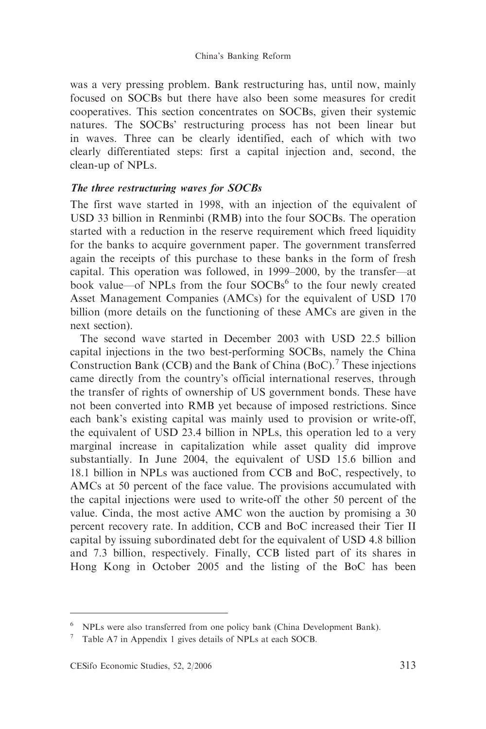was a very pressing problem. Bank restructuring has, until now, mainly focused on SOCBs but there have also been some measures for credit cooperatives. This section concentrates on SOCBs, given their systemic natures. The SOCBs' restructuring process has not been linear but in waves. Three can be clearly identified, each of which with two clearly differentiated steps: first a capital injection and, second, the clean-up of NPLs.

#### The three restructuring waves for SOCBs

The first wave started in 1998, with an injection of the equivalent of USD 33 billion in Renminbi (RMB) into the four SOCBs. The operation started with a reduction in the reserve requirement which freed liquidity for the banks to acquire government paper. The government transferred again the receipts of this purchase to these banks in the form of fresh capital. This operation was followed, in 1999–2000, by the transfer—at book value—of NPLs from the four  $SOCBs^6$  to the four newly created Asset Management Companies (AMCs) for the equivalent of USD 170 billion (more details on the functioning of these AMCs are given in the next section).

The second wave started in December 2003 with USD 22.5 billion capital injections in the two best-performing SOCBs, namely the China Construction Bank (CCB) and the Bank of China  $(BoC)<sup>7</sup>$  These injections came directly from the country's official international reserves, through the transfer of rights of ownership of US government bonds. These have not been converted into RMB yet because of imposed restrictions. Since each bank's existing capital was mainly used to provision or write-off, the equivalent of USD 23.4 billion in NPLs, this operation led to a very marginal increase in capitalization while asset quality did improve substantially. In June 2004, the equivalent of USD 15.6 billion and 18.1 billion in NPLs was auctioned from CCB and BoC, respectively, to AMCs at 50 percent of the face value. The provisions accumulated with the capital injections were used to write-off the other 50 percent of the value. Cinda, the most active AMC won the auction by promising a 30 percent recovery rate. In addition, CCB and BoC increased their Tier II capital by issuing subordinated debt for the equivalent of USD 4.8 billion and 7.3 billion, respectively. Finally, CCB listed part of its shares in Hong Kong in October 2005 and the listing of the BoC has been

<sup>6</sup> NPLs were also transferred from one policy bank (China Development Bank).

<sup>7</sup> Table A7 in Appendix 1 gives details of NPLs at each SOCB.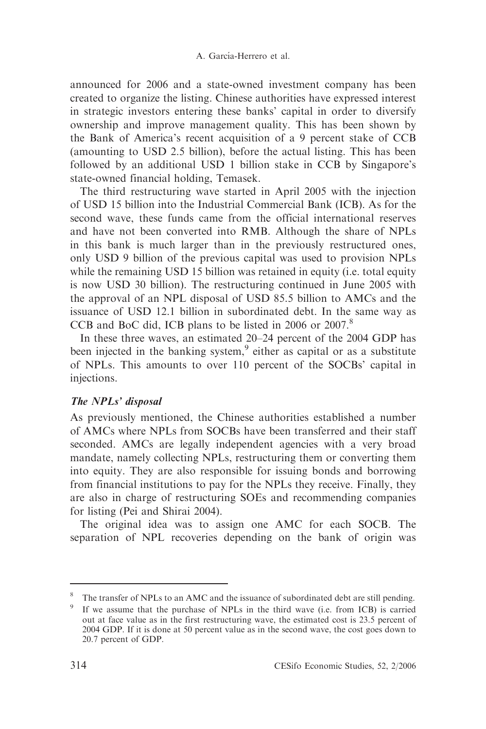announced for 2006 and a state-owned investment company has been created to organize the listing. Chinese authorities have expressed interest in strategic investors entering these banks' capital in order to diversify ownership and improve management quality. This has been shown by the Bank of America's recent acquisition of a 9 percent stake of CCB (amounting to USD 2.5 billion), before the actual listing. This has been followed by an additional USD 1 billion stake in CCB by Singapore's state-owned financial holding, Temasek.

The third restructuring wave started in April 2005 with the injection of USD 15 billion into the Industrial Commercial Bank (ICB). As for the second wave, these funds came from the official international reserves and have not been converted into RMB. Although the share of NPLs in this bank is much larger than in the previously restructured ones, only USD 9 billion of the previous capital was used to provision NPLs while the remaining USD 15 billion was retained in equity (i.e. total equity is now USD 30 billion). The restructuring continued in June 2005 with the approval of an NPL disposal of USD 85.5 billion to AMCs and the issuance of USD 12.1 billion in subordinated debt. In the same way as CCB and BoC did, ICB plans to be listed in 2006 or 2007.<sup>8</sup>

In these three waves, an estimated 20–24 percent of the 2004 GDP has been injected in the banking system, $9$  either as capital or as a substitute of NPLs. This amounts to over 110 percent of the SOCBs' capital in injections.

## The NPLs' disposal

As previously mentioned, the Chinese authorities established a number of AMCs where NPLs from SOCBs have been transferred and their staff seconded. AMCs are legally independent agencies with a very broad mandate, namely collecting NPLs, restructuring them or converting them into equity. They are also responsible for issuing bonds and borrowing from financial institutions to pay for the NPLs they receive. Finally, they are also in charge of restructuring SOEs and recommending companies for listing (Pei and Shirai 2004).

The original idea was to assign one AMC for each SOCB. The separation of NPL recoveries depending on the bank of origin was

<sup>&</sup>lt;sup>8</sup> The transfer of NPLs to an AMC and the issuance of subordinated debt are still pending.

If we assume that the purchase of NPLs in the third wave (i.e. from ICB) is carried out at face value as in the first restructuring wave, the estimated cost is 23.5 percent of 2004 GDP. If it is done at 50 percent value as in the second wave, the cost goes down to 20.7 percent of GDP.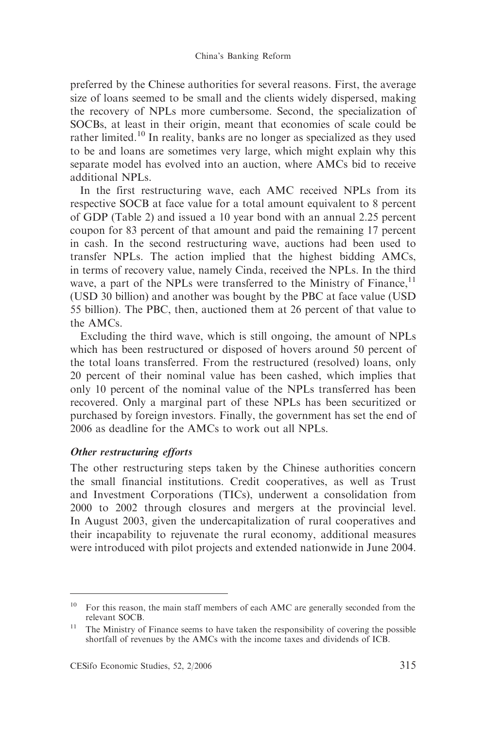preferred by the Chinese authorities for several reasons. First, the average size of loans seemed to be small and the clients widely dispersed, making the recovery of NPLs more cumbersome. Second, the specialization of SOCBs, at least in their origin, meant that economies of scale could be rather limited.<sup>10</sup> In reality, banks are no longer as specialized as they used to be and loans are sometimes very large, which might explain why this separate model has evolved into an auction, where AMCs bid to receive additional NPLs.

In the first restructuring wave, each AMC received NPLs from its respective SOCB at face value for a total amount equivalent to 8 percent of GDP (Table 2) and issued a 10 year bond with an annual 2.25 percent coupon for 83 percent of that amount and paid the remaining 17 percent in cash. In the second restructuring wave, auctions had been used to transfer NPLs. The action implied that the highest bidding AMCs, in terms of recovery value, namely Cinda, received the NPLs. In the third wave, a part of the NPLs were transferred to the Ministry of Finance,  $11$ (USD 30 billion) and another was bought by the PBC at face value (USD 55 billion). The PBC, then, auctioned them at 26 percent of that value to the AMCs.

Excluding the third wave, which is still ongoing, the amount of NPLs which has been restructured or disposed of hovers around 50 percent of the total loans transferred. From the restructured (resolved) loans, only 20 percent of their nominal value has been cashed, which implies that only 10 percent of the nominal value of the NPLs transferred has been recovered. Only a marginal part of these NPLs has been securitized or purchased by foreign investors. Finally, the government has set the end of 2006 as deadline for the AMCs to work out all NPLs.

#### Other restructuring efforts

The other restructuring steps taken by the Chinese authorities concern the small financial institutions. Credit cooperatives, as well as Trust and Investment Corporations (TICs), underwent a consolidation from 2000 to 2002 through closures and mergers at the provincial level. In August 2003, given the undercapitalization of rural cooperatives and their incapability to rejuvenate the rural economy, additional measures were introduced with pilot projects and extended nationwide in June 2004.

<sup>&</sup>lt;sup>10</sup> For this reason, the main staff members of each AMC are generally seconded from the relevant SOCB.

<sup>&</sup>lt;sup>11</sup> The Ministry of Finance seems to have taken the responsibility of covering the possible shortfall of revenues by the AMCs with the income taxes and dividends of ICB.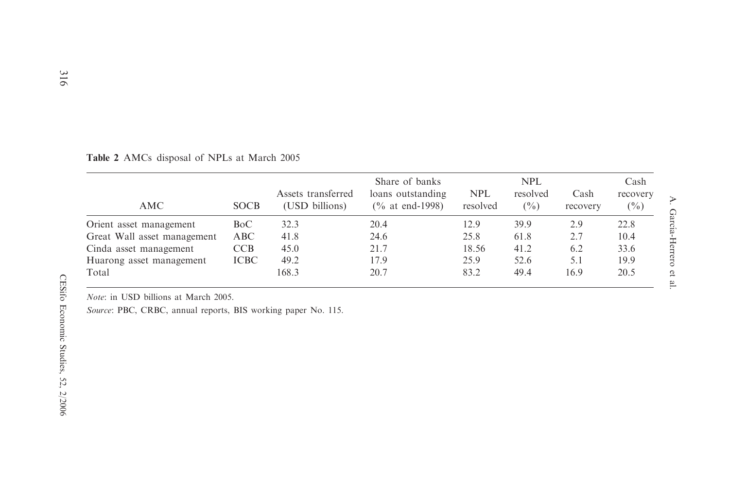| AMC                         | <b>SOCB</b> | Assets transferred<br>(USD billions) | Share of banks<br>loans outstanding<br>$(\%$ at end-1998) | <b>NPL</b><br>resolved | <b>NPL</b><br>resolved<br>$\binom{0}{0}$ | Cash<br>recovery | Cash<br>recovery<br>$(\%)$ |
|-----------------------------|-------------|--------------------------------------|-----------------------------------------------------------|------------------------|------------------------------------------|------------------|----------------------------|
| Orient asset management     | BoC         | 32.3                                 | 20.4                                                      | 12.9                   | 39.9                                     | 2.9              | 22.8                       |
| Great Wall asset management | ABC         | 41.8                                 | 24.6                                                      | 25.8                   | 61.8                                     | 2.7              | 10.4                       |
| Cinda asset management      | CCB         | 45.0                                 | 21.7                                                      | 18.56                  | 41.2                                     | 6.2              | 33.6                       |
| Huarong asset management    | <b>ICBC</b> | 49.2                                 | 17.9                                                      | 25.9                   | 52.6                                     | 5.1              | 19.9                       |
| Total                       |             | 168.3                                | 20.7                                                      | 83.2                   | 49.4                                     | 16.9             | 20.5                       |

Table 2 AMCs disposal of NPLs at March 2005

Note: in USD billions at March 2005.

Source: PBC, CRBC, annual reports, BIS working paper No. 115.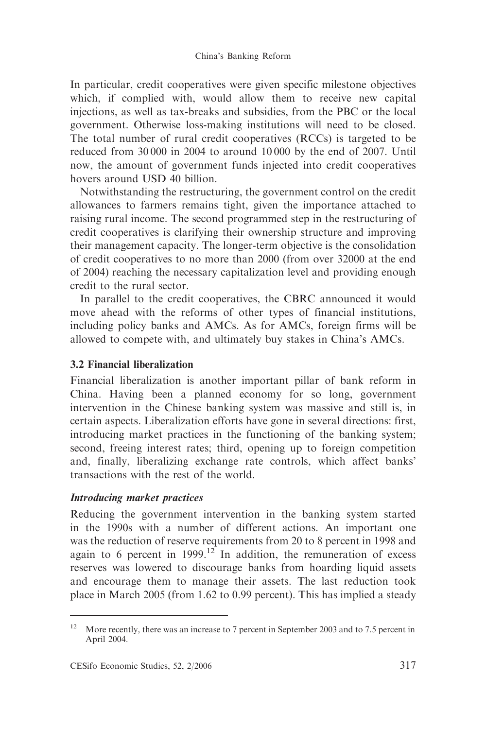In particular, credit cooperatives were given specific milestone objectives which, if complied with, would allow them to receive new capital injections, as well as tax-breaks and subsidies, from the PBC or the local government. Otherwise loss-making institutions will need to be closed. The total number of rural credit cooperatives (RCCs) is targeted to be reduced from 30 000 in 2004 to around 10 000 by the end of 2007. Until now, the amount of government funds injected into credit cooperatives hovers around USD 40 billion.

Notwithstanding the restructuring, the government control on the credit allowances to farmers remains tight, given the importance attached to raising rural income. The second programmed step in the restructuring of credit cooperatives is clarifying their ownership structure and improving their management capacity. The longer-term objective is the consolidation of credit cooperatives to no more than 2000 (from over 32000 at the end of 2004) reaching the necessary capitalization level and providing enough credit to the rural sector.

In parallel to the credit cooperatives, the CBRC announced it would move ahead with the reforms of other types of financial institutions, including policy banks and AMCs. As for AMCs, foreign firms will be allowed to compete with, and ultimately buy stakes in China's AMCs.

## 3.2 Financial liberalization

Financial liberalization is another important pillar of bank reform in China. Having been a planned economy for so long, government intervention in the Chinese banking system was massive and still is, in certain aspects. Liberalization efforts have gone in several directions: first, introducing market practices in the functioning of the banking system; second, freeing interest rates; third, opening up to foreign competition and, finally, liberalizing exchange rate controls, which affect banks' transactions with the rest of the world.

## Introducing market practices

Reducing the government intervention in the banking system started in the 1990s with a number of different actions. An important one was the reduction of reserve requirements from 20 to 8 percent in 1998 and again to 6 percent in  $1999$ .<sup>12</sup> In addition, the remuneration of excess reserves was lowered to discourage banks from hoarding liquid assets and encourage them to manage their assets. The last reduction took place in March 2005 (from 1.62 to 0.99 percent). This has implied a steady

<sup>&</sup>lt;sup>12</sup> More recently, there was an increase to 7 percent in September 2003 and to 7.5 percent in April 2004.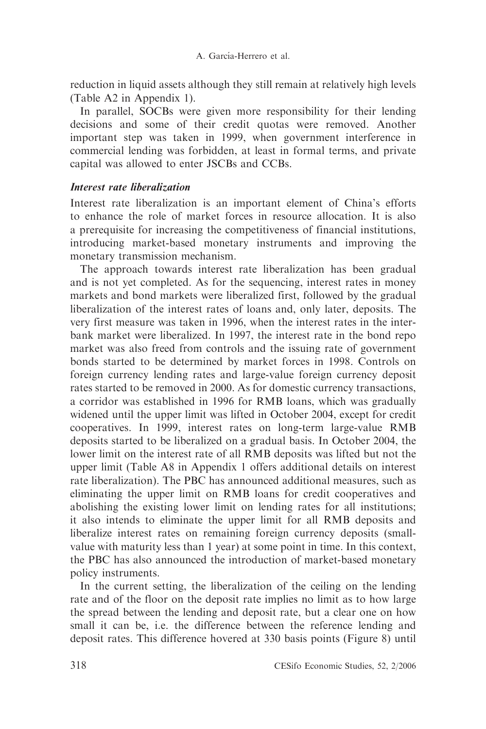reduction in liquid assets although they still remain at relatively high levels (Table A2 in Appendix 1).

In parallel, SOCBs were given more responsibility for their lending decisions and some of their credit quotas were removed. Another important step was taken in 1999, when government interference in commercial lending was forbidden, at least in formal terms, and private capital was allowed to enter JSCBs and CCBs.

## Interest rate liberalization

Interest rate liberalization is an important element of China's efforts to enhance the role of market forces in resource allocation. It is also a prerequisite for increasing the competitiveness of financial institutions, introducing market-based monetary instruments and improving the monetary transmission mechanism.

The approach towards interest rate liberalization has been gradual and is not yet completed. As for the sequencing, interest rates in money markets and bond markets were liberalized first, followed by the gradual liberalization of the interest rates of loans and, only later, deposits. The very first measure was taken in 1996, when the interest rates in the interbank market were liberalized. In 1997, the interest rate in the bond repo market was also freed from controls and the issuing rate of government bonds started to be determined by market forces in 1998. Controls on foreign currency lending rates and large-value foreign currency deposit rates started to be removed in 2000. As for domestic currency transactions, a corridor was established in 1996 for RMB loans, which was gradually widened until the upper limit was lifted in October 2004, except for credit cooperatives. In 1999, interest rates on long-term large-value RMB deposits started to be liberalized on a gradual basis. In October 2004, the lower limit on the interest rate of all RMB deposits was lifted but not the upper limit (Table A8 in Appendix 1 offers additional details on interest rate liberalization). The PBC has announced additional measures, such as eliminating the upper limit on RMB loans for credit cooperatives and abolishing the existing lower limit on lending rates for all institutions; it also intends to eliminate the upper limit for all RMB deposits and liberalize interest rates on remaining foreign currency deposits (smallvalue with maturity less than 1 year) at some point in time. In this context, the PBC has also announced the introduction of market-based monetary policy instruments.

In the current setting, the liberalization of the ceiling on the lending rate and of the floor on the deposit rate implies no limit as to how large the spread between the lending and deposit rate, but a clear one on how small it can be, i.e. the difference between the reference lending and deposit rates. This difference hovered at 330 basis points (Figure 8) until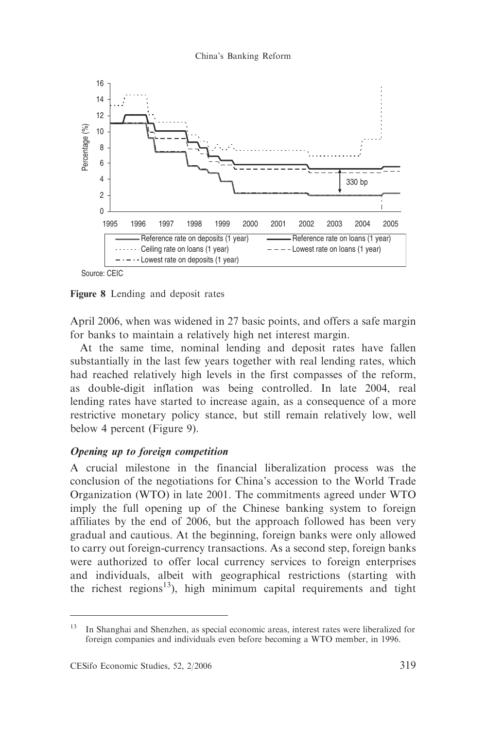

Figure 8 Lending and deposit rates

April 2006, when was widened in 27 basic points, and offers a safe margin for banks to maintain a relatively high net interest margin.

At the same time, nominal lending and deposit rates have fallen substantially in the last few years together with real lending rates, which had reached relatively high levels in the first compasses of the reform, as double-digit inflation was being controlled. In late 2004, real lending rates have started to increase again, as a consequence of a more restrictive monetary policy stance, but still remain relatively low, well below 4 percent (Figure 9).

#### Opening up to foreign competition

A crucial milestone in the financial liberalization process was the conclusion of the negotiations for China's accession to the World Trade Organization (WTO) in late 2001. The commitments agreed under WTO imply the full opening up of the Chinese banking system to foreign affiliates by the end of 2006, but the approach followed has been very gradual and cautious. At the beginning, foreign banks were only allowed to carry out foreign-currency transactions. As a second step, foreign banks were authorized to offer local currency services to foreign enterprises and individuals, albeit with geographical restrictions (starting with the richest regions<sup>13</sup>), high minimum capital requirements and tight

<sup>&</sup>lt;sup>13</sup> In Shanghai and Shenzhen, as special economic areas, interest rates were liberalized for foreign companies and individuals even before becoming a WTO member, in 1996.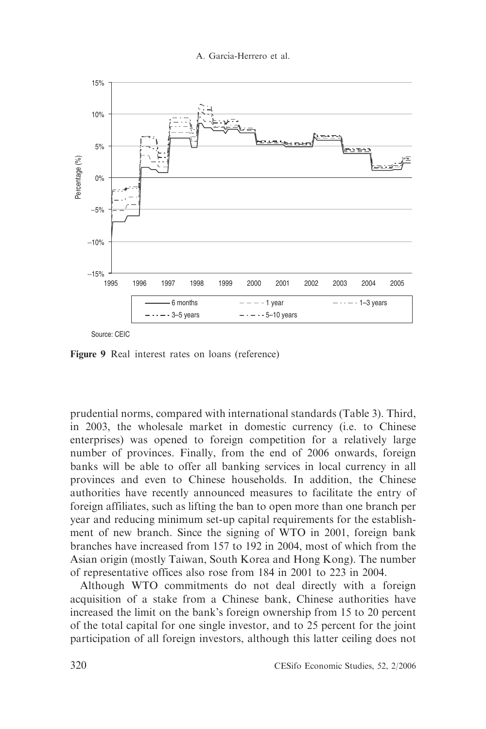A. García-Herrero et al.



Source: CEIC

Figure 9 Real interest rates on loans (reference)

prudential norms, compared with international standards (Table 3). Third, in 2003, the wholesale market in domestic currency (i.e. to Chinese enterprises) was opened to foreign competition for a relatively large number of provinces. Finally, from the end of 2006 onwards, foreign banks will be able to offer all banking services in local currency in all provinces and even to Chinese households. In addition, the Chinese authorities have recently announced measures to facilitate the entry of foreign affiliates, such as lifting the ban to open more than one branch per year and reducing minimum set-up capital requirements for the establishment of new branch. Since the signing of WTO in 2001, foreign bank branches have increased from 157 to 192 in 2004, most of which from the Asian origin (mostly Taiwan, South Korea and Hong Kong). The number of representative offices also rose from 184 in 2001 to 223 in 2004.

Although WTO commitments do not deal directly with a foreign acquisition of a stake from a Chinese bank, Chinese authorities have increased the limit on the bank's foreign ownership from 15 to 20 percent of the total capital for one single investor, and to 25 percent for the joint participation of all foreign investors, although this latter ceiling does not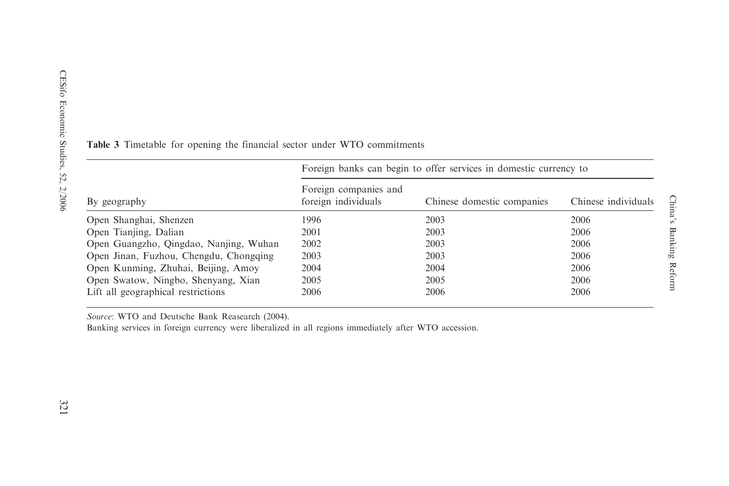| <b>Table 3</b> Timetable for opening the financial sector under WTO commitments |                                                                   |                            |      |  |  |  |  |  |  |
|---------------------------------------------------------------------------------|-------------------------------------------------------------------|----------------------------|------|--|--|--|--|--|--|
|                                                                                 | Foreign banks can begin to offer services in domestic currency to |                            |      |  |  |  |  |  |  |
| By geography                                                                    | Foreign companies and<br>foreign individuals                      | Chinese domestic companies | Chir |  |  |  |  |  |  |
| Open Shanghai, Shenzen                                                          | 1996                                                              | 2003                       | 2006 |  |  |  |  |  |  |
| Open Tianjing, Dalian                                                           | 2001                                                              | 2003                       | 2006 |  |  |  |  |  |  |
| Open Guangzho, Qingdao, Nanjing, Wuhan                                          | 2002                                                              | 2003                       | 2006 |  |  |  |  |  |  |
| Open Jinan, Fuzhou, Chengdu, Chongqing                                          | 2003                                                              | 2003                       | 2006 |  |  |  |  |  |  |
| Open Kunming, Zhuhai, Beijing, Amoy                                             | 2004                                                              | 2004                       | 2006 |  |  |  |  |  |  |

Source: WTO and Deutsche Bank Reasearch (2004).

Banking services in foreign currency were liberalized in all regions immediately after WTO accession.

Open Swatow, Ningbo, Shenyang, Xian 2005 2005 2006 Lift all geographical restrictions 2006 2006 2006 2006 2006

Chinese domestic companies Chinese individuals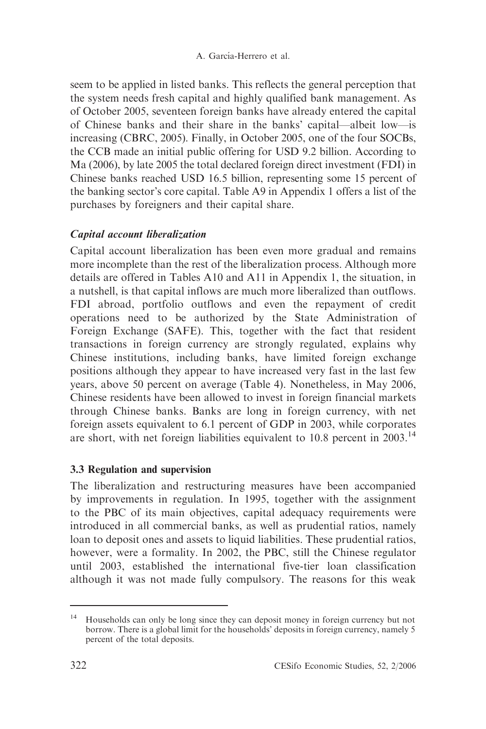#### A. García-Herrero et al.

seem to be applied in listed banks. This reflects the general perception that the system needs fresh capital and highly qualified bank management. As of October 2005, seventeen foreign banks have already entered the capital of Chinese banks and their share in the banks' capital—albeit low—is increasing (CBRC, 2005). Finally, in October 2005, one of the four SOCBs, the CCB made an initial public offering for USD 9.2 billion. According to Ma (2006), by late 2005 the total declared foreign direct investment (FDI) in Chinese banks reached USD 16.5 billion, representing some 15 percent of the banking sector's core capital. Table A9 in Appendix 1 offers a list of the purchases by foreigners and their capital share.

## Capital account liberalization

Capital account liberalization has been even more gradual and remains more incomplete than the rest of the liberalization process. Although more details are offered in Tables A10 and A11 in Appendix 1, the situation, in a nutshell, is that capital inflows are much more liberalized than outflows. FDI abroad, portfolio outflows and even the repayment of credit operations need to be authorized by the State Administration of Foreign Exchange (SAFE). This, together with the fact that resident transactions in foreign currency are strongly regulated, explains why Chinese institutions, including banks, have limited foreign exchange positions although they appear to have increased very fast in the last few years, above 50 percent on average (Table 4). Nonetheless, in May 2006, Chinese residents have been allowed to invest in foreign financial markets through Chinese banks. Banks are long in foreign currency, with net foreign assets equivalent to 6.1 percent of GDP in 2003, while corporates are short, with net foreign liabilities equivalent to 10.8 percent in 2003.<sup>14</sup>

## 3.3 Regulation and supervision

The liberalization and restructuring measures have been accompanied by improvements in regulation. In 1995, together with the assignment to the PBC of its main objectives, capital adequacy requirements were introduced in all commercial banks, as well as prudential ratios, namely loan to deposit ones and assets to liquid liabilities. These prudential ratios, however, were a formality. In 2002, the PBC, still the Chinese regulator until 2003, established the international five-tier loan classification although it was not made fully compulsory. The reasons for this weak

<sup>&</sup>lt;sup>14</sup> Households can only be long since they can deposit money in foreign currency but not borrow. There is a global limit for the households' deposits in foreign currency, namely 5 percent of the total deposits.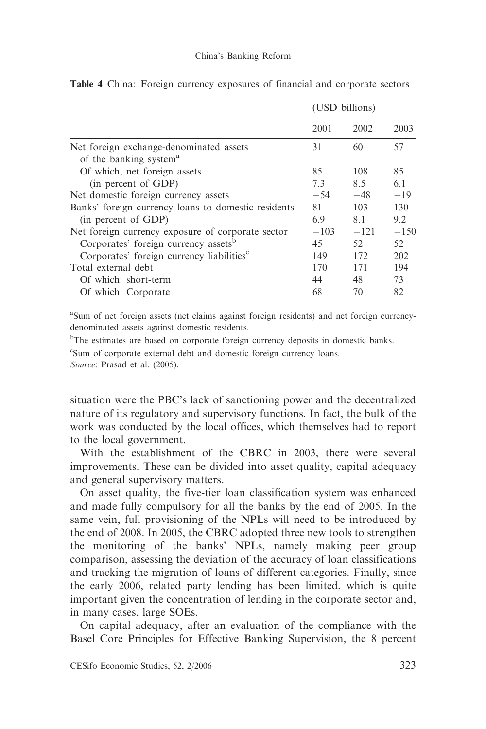#### China's Banking Reform

|                                                                               |        | (USD billions) |        |  |  |
|-------------------------------------------------------------------------------|--------|----------------|--------|--|--|
|                                                                               | 2001   | 2002           | 2003   |  |  |
| Net foreign exchange-denominated assets<br>of the banking system <sup>a</sup> | 31     | 60             | 57     |  |  |
| Of which, net foreign assets                                                  | 85     | 108            | 85     |  |  |
| (in percent of GDP)                                                           | 7.3    | 8.5            | 6.1    |  |  |
| Net domestic foreign currency assets                                          | $-54$  | $-48$          | $-19$  |  |  |
| Banks' foreign currency loans to domestic residents                           | 81     | 103            | 130    |  |  |
| (in percent of GDP)                                                           | 6.9    | 8.1            | 9.2    |  |  |
| Net foreign currency exposure of corporate sector                             | $-103$ | $-121$         | $-150$ |  |  |
| Corporates' foreign currency assets <sup>b</sup>                              | 45     | 52.            | 52.    |  |  |
| Corporates' foreign currency liabilities <sup>c</sup>                         | 149    | 172            | 202    |  |  |
| Total external debt                                                           | 170    | 171            | 194    |  |  |
| Of which: short-term                                                          | 44     | 48             | 73     |  |  |
| Of which: Corporate                                                           | 68     | 70             | 82     |  |  |

Table 4 China: Foreign currency exposures of financial and corporate sectors

<sup>a</sup>Sum of net foreign assets (net claims against foreign residents) and net foreign currencydenominated assets against domestic residents.

<sup>b</sup>The estimates are based on corporate foreign currency deposits in domestic banks.

c Sum of corporate external debt and domestic foreign currency loans.

Source: Prasad et al. (2005).

situation were the PBC's lack of sanctioning power and the decentralized nature of its regulatory and supervisory functions. In fact, the bulk of the work was conducted by the local offices, which themselves had to report to the local government.

With the establishment of the CBRC in 2003, there were several improvements. These can be divided into asset quality, capital adequacy and general supervisory matters.

On asset quality, the five-tier loan classification system was enhanced and made fully compulsory for all the banks by the end of 2005. In the same vein, full provisioning of the NPLs will need to be introduced by the end of 2008. In 2005, the CBRC adopted three new tools to strengthen the monitoring of the banks' NPLs, namely making peer group comparison, assessing the deviation of the accuracy of loan classifications and tracking the migration of loans of different categories. Finally, since the early 2006, related party lending has been limited, which is quite important given the concentration of lending in the corporate sector and, in many cases, large SOEs.

On capital adequacy, after an evaluation of the compliance with the Basel Core Principles for Effective Banking Supervision, the 8 percent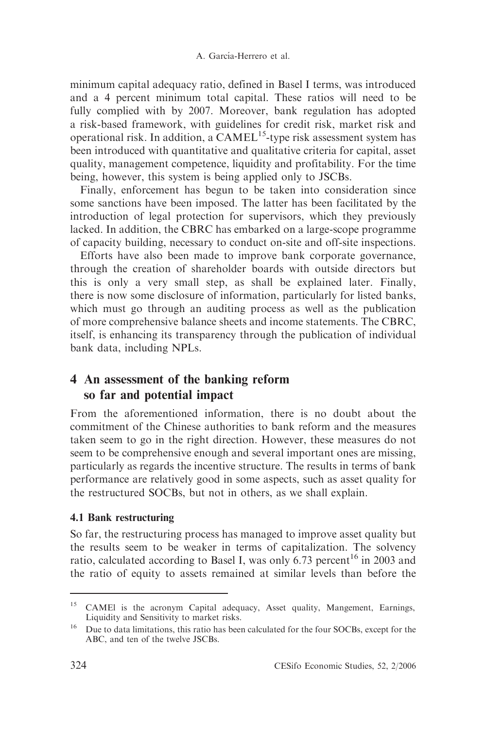minimum capital adequacy ratio, defined in Basel I terms, was introduced and a 4 percent minimum total capital. These ratios will need to be fully complied with by 2007. Moreover, bank regulation has adopted a risk-based framework, with guidelines for credit risk, market risk and operational risk. In addition, a CAMEL<sup>15</sup>-type risk assessment system has been introduced with quantitative and qualitative criteria for capital, asset quality, management competence, liquidity and profitability. For the time being, however, this system is being applied only to JSCBs.

Finally, enforcement has begun to be taken into consideration since some sanctions have been imposed. The latter has been facilitated by the introduction of legal protection for supervisors, which they previously lacked. In addition, the CBRC has embarked on a large-scope programme of capacity building, necessary to conduct on-site and off-site inspections.

Efforts have also been made to improve bank corporate governance, through the creation of shareholder boards with outside directors but this is only a very small step, as shall be explained later. Finally, there is now some disclosure of information, particularly for listed banks, which must go through an auditing process as well as the publication of more comprehensive balance sheets and income statements. The CBRC, itself, is enhancing its transparency through the publication of individual bank data, including NPLs.

# 4 An assessment of the banking reform so far and potential impact

From the aforementioned information, there is no doubt about the commitment of the Chinese authorities to bank reform and the measures taken seem to go in the right direction. However, these measures do not seem to be comprehensive enough and several important ones are missing, particularly as regards the incentive structure. The results in terms of bank performance are relatively good in some aspects, such as asset quality for the restructured SOCBs, but not in others, as we shall explain.

## 4.1 Bank restructuring

So far, the restructuring process has managed to improve asset quality but the results seem to be weaker in terms of capitalization. The solvency ratio, calculated according to Basel I, was only 6.73 percent<sup>16</sup> in 2003 and the ratio of equity to assets remained at similar levels than before the

<sup>&</sup>lt;sup>15</sup> CAMEl is the acronym Capital adequacy, Asset quality, Mangement, Earnings, Liquidity and Sensitivity to market risks.

<sup>&</sup>lt;sup>16</sup> Due to data limitations, this ratio has been calculated for the four SOCBs, except for the ABC, and ten of the twelve JSCBs.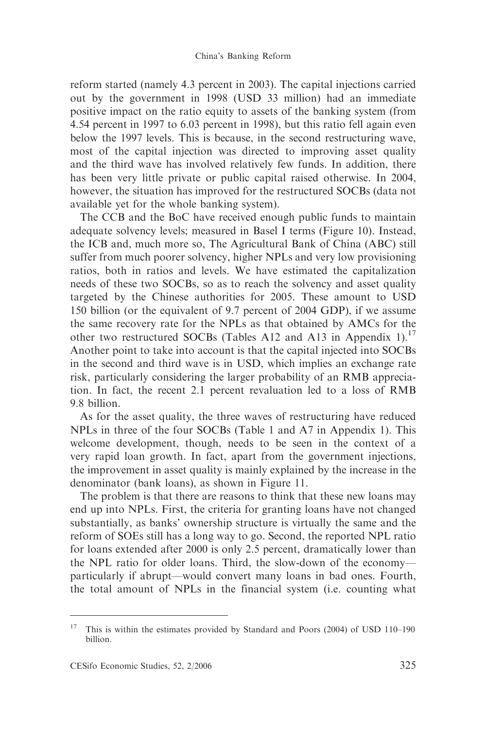reform started (namely 4.3 percent in 2003). The capital injections carried out by the government in 1998 (USD 33 million) had an immediate positive impact on the ratio equity to assets of the banking system (from 4.54 percent in 1997 to 6.03 percent in 1998), but this ratio fell again even below the 1997 levels. This is because, in the second restructuring wave, most of the capital injection was directed to improving asset quality and the third wave has involved relatively few funds. In addition, there has been very little private or public capital raised otherwise. In 2004, however, the situation has improved for the restructured SOCBs (data not available yet for the whole banking system).

The CCB and the BoC have received enough public funds to maintain adequate solvency levels; measured in Basel I terms (Figure 10). Instead, the ICB and, much more so, The Agricultural Bank of China (ABC) still suffer from much poorer solvency, higher NPLs and very low provisioning ratios, both in ratios and levels. We have estimated the capitalization needs of these two SOCBs, so as to reach the solvency and asset quality targeted by the Chinese authorities for 2005. These amount to USD 150 billion (or the equivalent of 9.7 percent of 2004 GDP), if we assume the same recovery rate for the NPLs as that obtained by AMCs for the other two restructured SOCBs (Tables A12 and A13 in Appendix 1).<sup>17</sup> Another point to take into account is that the capital injected into SOCBs in the second and third wave is in USD, which implies an exchange rate risk, particularly considering the larger probability of an RMB appreciation. In fact, the recent 2.1 percent revaluation led to a loss of RMB 9.8 billion.

As for the asset quality, the three waves of restructuring have reduced NPLs in three of the four SOCBs (Table 1 and A7 in Appendix 1). This welcome development, though, needs to be seen in the context of a very rapid loan growth. In fact, apart from the government injections, the improvement in asset quality is mainly explained by the increase in the denominator (bank loans), as shown in Figure 11.

The problem is that there are reasons to think that these new loans may end up into NPLs. First, the criteria for granting loans have not changed substantially, as banks' ownership structure is virtually the same and the reform of SOEs still has a long way to go. Second, the reported NPL ratio for loans extended after 2000 is only 2.5 percent, dramatically lower than the NPL ratio for older loans. Third, the slow-down of the economy particularly if abrupt—would convert many loans in bad ones. Fourth, the total amount of NPLs in the financial system (i.e. counting what

<sup>&</sup>lt;sup>17</sup> This is within the estimates provided by Standard and Poors (2004) of USD 110–190 billion.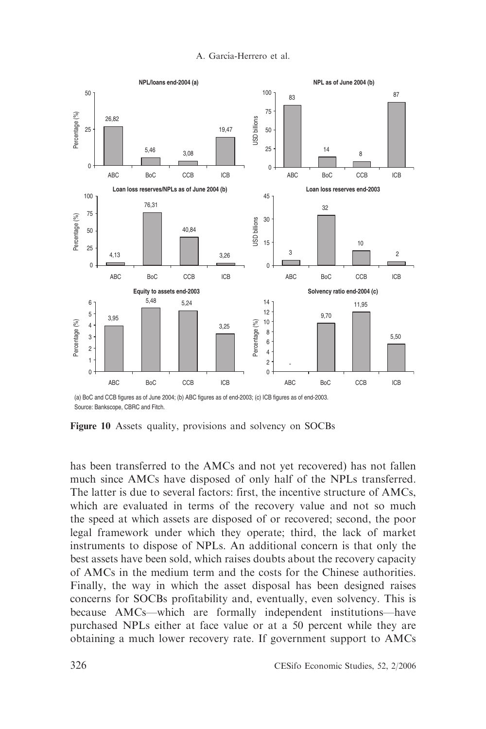

Source: Bankscope, CBRC and Fitch.

Figure 10 Assets quality, provisions and solvency on SOCBs

has been transferred to the AMCs and not yet recovered) has not fallen much since AMCs have disposed of only half of the NPLs transferred. The latter is due to several factors: first, the incentive structure of AMCs, which are evaluated in terms of the recovery value and not so much the speed at which assets are disposed of or recovered; second, the poor legal framework under which they operate; third, the lack of market instruments to dispose of NPLs. An additional concern is that only the best assets have been sold, which raises doubts about the recovery capacity of AMCs in the medium term and the costs for the Chinese authorities. Finally, the way in which the asset disposal has been designed raises concerns for SOCBs profitability and, eventually, even solvency. This is because AMCs—which are formally independent institutions—have purchased NPLs either at face value or at a 50 percent while they are obtaining a much lower recovery rate. If government support to AMCs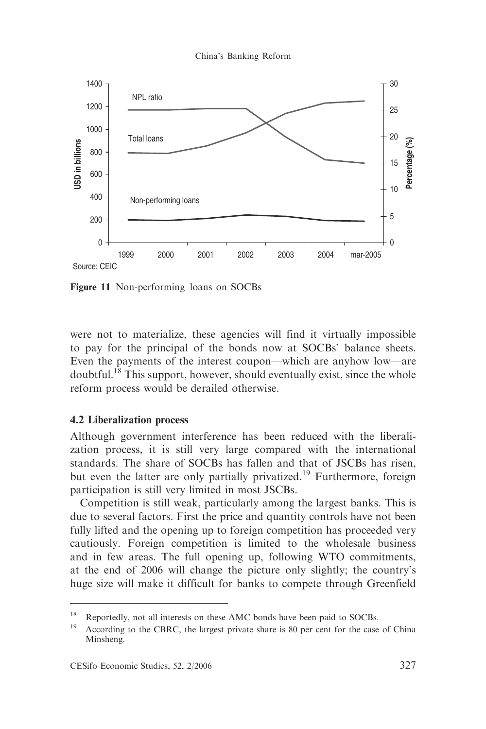



Figure 11 Non-performing loans on SOCBs

were not to materialize, these agencies will find it virtually impossible to pay for the principal of the bonds now at SOCBs' balance sheets. Even the payments of the interest coupon—which are anyhow low—are doubtful.<sup>18</sup> This support, however, should eventually exist, since the whole reform process would be derailed otherwise.

#### 4.2 Liberalization process

Although government interference has been reduced with the liberalization process, it is still very large compared with the international standards. The share of SOCBs has fallen and that of JSCBs has risen, but even the latter are only partially privatized.<sup>19</sup> Furthermore, foreign participation is still very limited in most JSCBs.

Competition is still weak, particularly among the largest banks. This is due to several factors. First the price and quantity controls have not been fully lifted and the opening up to foreign competition has proceeded very cautiously. Foreign competition is limited to the wholesale business and in few areas. The full opening up, following WTO commitments, at the end of 2006 will change the picture only slightly; the country's huge size will make it difficult for banks to compete through Greenfield

<sup>&</sup>lt;sup>18</sup> Reportedly, not all interests on these AMC bonds have been paid to SOCBs.

<sup>&</sup>lt;sup>19</sup> According to the CBRC, the largest private share is 80 per cent for the case of China Minsheng.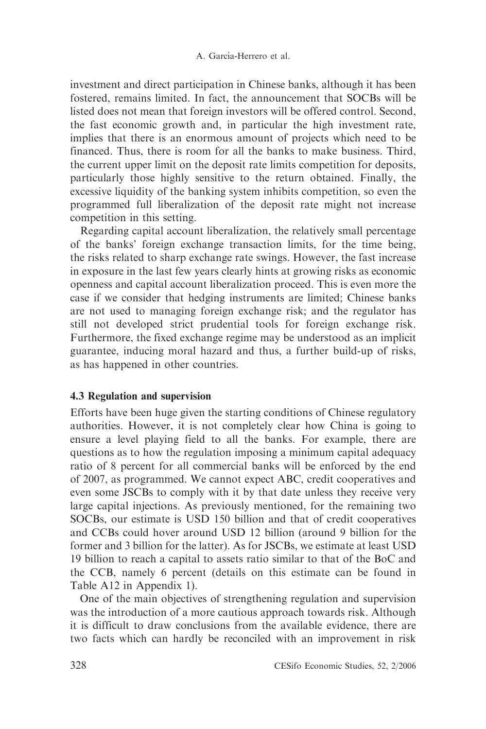investment and direct participation in Chinese banks, although it has been fostered, remains limited. In fact, the announcement that SOCBs will be listed does not mean that foreign investors will be offered control. Second, the fast economic growth and, in particular the high investment rate, implies that there is an enormous amount of projects which need to be financed. Thus, there is room for all the banks to make business. Third, the current upper limit on the deposit rate limits competition for deposits, particularly those highly sensitive to the return obtained. Finally, the excessive liquidity of the banking system inhibits competition, so even the programmed full liberalization of the deposit rate might not increase competition in this setting.

Regarding capital account liberalization, the relatively small percentage of the banks' foreign exchange transaction limits, for the time being, the risks related to sharp exchange rate swings. However, the fast increase in exposure in the last few years clearly hints at growing risks as economic openness and capital account liberalization proceed. This is even more the case if we consider that hedging instruments are limited; Chinese banks are not used to managing foreign exchange risk; and the regulator has still not developed strict prudential tools for foreign exchange risk. Furthermore, the fixed exchange regime may be understood as an implicit guarantee, inducing moral hazard and thus, a further build-up of risks, as has happened in other countries.

#### 4.3 Regulation and supervision

Efforts have been huge given the starting conditions of Chinese regulatory authorities. However, it is not completely clear how China is going to ensure a level playing field to all the banks. For example, there are questions as to how the regulation imposing a minimum capital adequacy ratio of 8 percent for all commercial banks will be enforced by the end of 2007, as programmed. We cannot expect ABC, credit cooperatives and even some JSCBs to comply with it by that date unless they receive very large capital injections. As previously mentioned, for the remaining two SOCBs, our estimate is USD 150 billion and that of credit cooperatives and CCBs could hover around USD 12 billion (around 9 billion for the former and 3 billion for the latter). As for JSCBs, we estimate at least USD 19 billion to reach a capital to assets ratio similar to that of the BoC and the CCB, namely 6 percent (details on this estimate can be found in Table A12 in Appendix 1).

One of the main objectives of strengthening regulation and supervision was the introduction of a more cautious approach towards risk. Although it is difficult to draw conclusions from the available evidence, there are two facts which can hardly be reconciled with an improvement in risk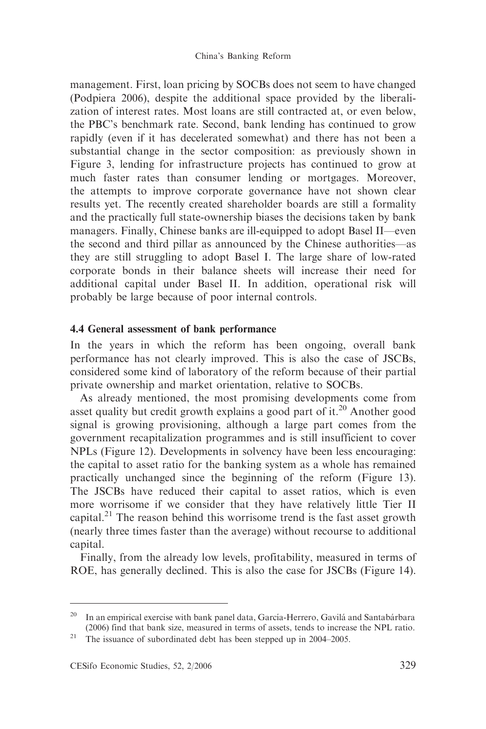management. First, loan pricing by SOCBs does not seem to have changed (Podpiera 2006), despite the additional space provided by the liberalization of interest rates. Most loans are still contracted at, or even below, the PBC's benchmark rate. Second, bank lending has continued to grow rapidly (even if it has decelerated somewhat) and there has not been a substantial change in the sector composition: as previously shown in Figure 3, lending for infrastructure projects has continued to grow at much faster rates than consumer lending or mortgages. Moreover, the attempts to improve corporate governance have not shown clear results yet. The recently created shareholder boards are still a formality and the practically full state-ownership biases the decisions taken by bank managers. Finally, Chinese banks are ill-equipped to adopt Basel II—even the second and third pillar as announced by the Chinese authorities—as they are still struggling to adopt Basel I. The large share of low-rated corporate bonds in their balance sheets will increase their need for additional capital under Basel II. In addition, operational risk will probably be large because of poor internal controls.

#### 4.4 General assessment of bank performance

In the years in which the reform has been ongoing, overall bank performance has not clearly improved. This is also the case of JSCBs, considered some kind of laboratory of the reform because of their partial private ownership and market orientation, relative to SOCBs.

As already mentioned, the most promising developments come from asset quality but credit growth explains a good part of it.<sup>20</sup> Another good signal is growing provisioning, although a large part comes from the government recapitalization programmes and is still insufficient to cover NPLs (Figure 12). Developments in solvency have been less encouraging: the capital to asset ratio for the banking system as a whole has remained practically unchanged since the beginning of the reform (Figure 13). The JSCBs have reduced their capital to asset ratios, which is even more worrisome if we consider that they have relatively little Tier II capital.<sup>21</sup> The reason behind this worrisome trend is the fast asset growth (nearly three times faster than the average) without recourse to additional capital.

Finally, from the already low levels, profitability, measured in terms of ROE, has generally declined. This is also the case for JSCBs (Figure 14).

 $20$  In an empirical exercise with bank panel data, García-Herrero, Gavilá and Santabárbara (2006) find that bank size, measured in terms of assets, tends to increase the NPL ratio.

<sup>&</sup>lt;sup>21</sup> The issuance of subordinated debt has been stepped up in 2004–2005.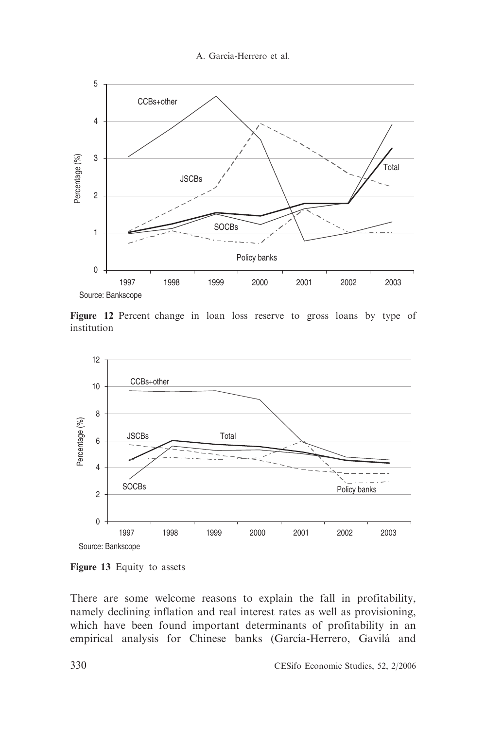A. García-Herrero et al.



Figure 12 Percent change in loan loss reserve to gross loans by type of institution



Figure 13 Equity to assets

There are some welcome reasons to explain the fall in profitability, namely declining inflation and real interest rates as well as provisioning, which have been found important determinants of profitability in an empirical analysis for Chinese banks (García-Herrero, Gavilá and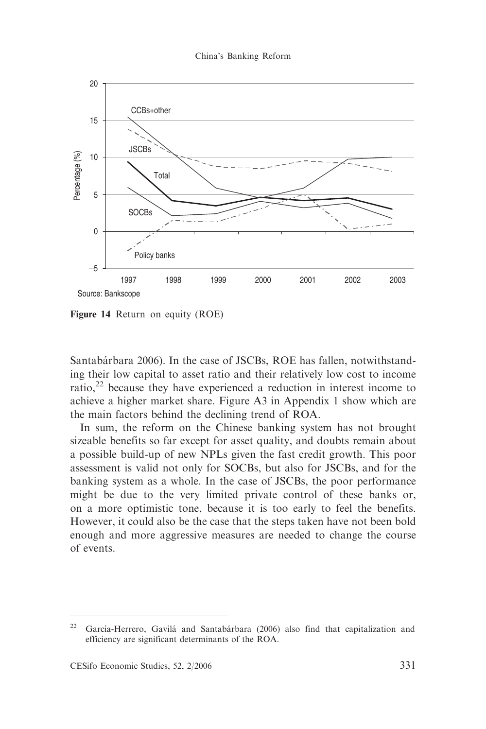

Figure 14 Return on equity (ROE)

Santabárbara 2006). In the case of JSCBs, ROE has fallen, notwithstanding their low capital to asset ratio and their relatively low cost to income ratio, $^{22}$  because they have experienced a reduction in interest income to achieve a higher market share. Figure A3 in Appendix 1 show which are the main factors behind the declining trend of ROA.

In sum, the reform on the Chinese banking system has not brought sizeable benefits so far except for asset quality, and doubts remain about a possible build-up of new NPLs given the fast credit growth. This poor assessment is valid not only for SOCBs, but also for JSCBs, and for the banking system as a whole. In the case of JSCBs, the poor performance might be due to the very limited private control of these banks or, on a more optimistic tone, because it is too early to feel the benefits. However, it could also be the case that the steps taken have not been bold enough and more aggressive measures are needed to change the course of events.

 $22$  García-Herrero, Gavilá and Santabárbara (2006) also find that capitalization and efficiency are significant determinants of the ROA.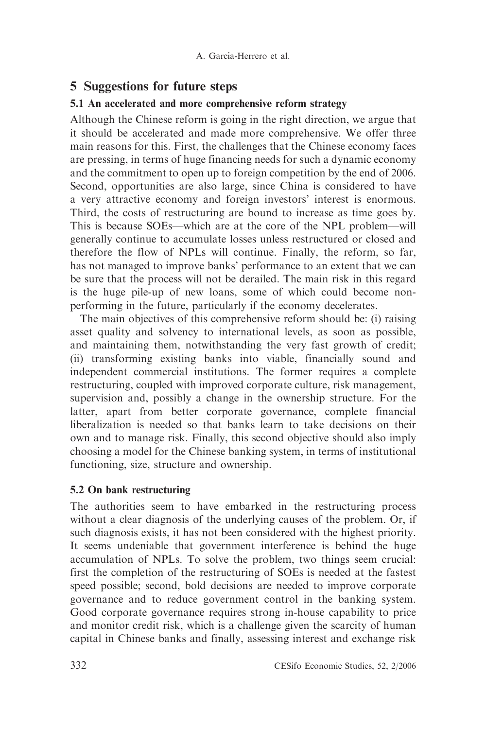## 5 Suggestions for future steps

#### 5.1 An accelerated and more comprehensive reform strategy

Although the Chinese reform is going in the right direction, we argue that it should be accelerated and made more comprehensive. We offer three main reasons for this. First, the challenges that the Chinese economy faces are pressing, in terms of huge financing needs for such a dynamic economy and the commitment to open up to foreign competition by the end of 2006. Second, opportunities are also large, since China is considered to have a very attractive economy and foreign investors' interest is enormous. Third, the costs of restructuring are bound to increase as time goes by. This is because SOEs—which are at the core of the NPL problem—will generally continue to accumulate losses unless restructured or closed and therefore the flow of NPLs will continue. Finally, the reform, so far, has not managed to improve banks' performance to an extent that we can be sure that the process will not be derailed. The main risk in this regard is the huge pile-up of new loans, some of which could become nonperforming in the future, particularly if the economy decelerates.

The main objectives of this comprehensive reform should be: (i) raising asset quality and solvency to international levels, as soon as possible, and maintaining them, notwithstanding the very fast growth of credit; (ii) transforming existing banks into viable, financially sound and independent commercial institutions. The former requires a complete restructuring, coupled with improved corporate culture, risk management, supervision and, possibly a change in the ownership structure. For the latter, apart from better corporate governance, complete financial liberalization is needed so that banks learn to take decisions on their own and to manage risk. Finally, this second objective should also imply choosing a model for the Chinese banking system, in terms of institutional functioning, size, structure and ownership.

## 5.2 On bank restructuring

The authorities seem to have embarked in the restructuring process without a clear diagnosis of the underlying causes of the problem. Or, if such diagnosis exists, it has not been considered with the highest priority. It seems undeniable that government interference is behind the huge accumulation of NPLs. To solve the problem, two things seem crucial: first the completion of the restructuring of SOEs is needed at the fastest speed possible; second, bold decisions are needed to improve corporate governance and to reduce government control in the banking system. Good corporate governance requires strong in-house capability to price and monitor credit risk, which is a challenge given the scarcity of human capital in Chinese banks and finally, assessing interest and exchange risk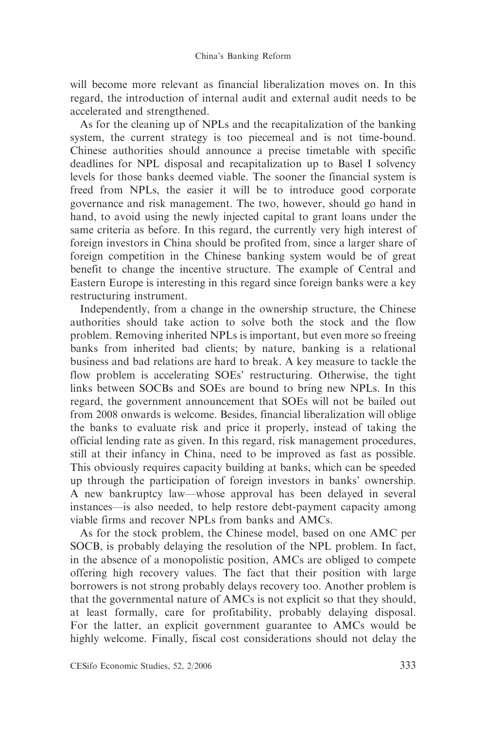will become more relevant as financial liberalization moves on. In this regard, the introduction of internal audit and external audit needs to be accelerated and strengthened.

As for the cleaning up of NPLs and the recapitalization of the banking system, the current strategy is too piecemeal and is not time-bound. Chinese authorities should announce a precise timetable with specific deadlines for NPL disposal and recapitalization up to Basel I solvency levels for those banks deemed viable. The sooner the financial system is freed from NPLs, the easier it will be to introduce good corporate governance and risk management. The two, however, should go hand in hand, to avoid using the newly injected capital to grant loans under the same criteria as before. In this regard, the currently very high interest of foreign investors in China should be profited from, since a larger share of foreign competition in the Chinese banking system would be of great benefit to change the incentive structure. The example of Central and Eastern Europe is interesting in this regard since foreign banks were a key restructuring instrument.

Independently, from a change in the ownership structure, the Chinese authorities should take action to solve both the stock and the flow problem. Removing inherited NPLs is important, but even more so freeing banks from inherited bad clients; by nature, banking is a relational business and bad relations are hard to break. A key measure to tackle the flow problem is accelerating SOEs' restructuring. Otherwise, the tight links between SOCBs and SOEs are bound to bring new NPLs. In this regard, the government announcement that SOEs will not be bailed out from 2008 onwards is welcome. Besides, financial liberalization will oblige the banks to evaluate risk and price it properly, instead of taking the official lending rate as given. In this regard, risk management procedures, still at their infancy in China, need to be improved as fast as possible. This obviously requires capacity building at banks, which can be speeded up through the participation of foreign investors in banks' ownership. A new bankruptcy law—whose approval has been delayed in several instances—is also needed, to help restore debt-payment capacity among viable firms and recover NPLs from banks and AMCs.

As for the stock problem, the Chinese model, based on one AMC per SOCB, is probably delaying the resolution of the NPL problem. In fact, in the absence of a monopolistic position, AMCs are obliged to compete offering high recovery values. The fact that their position with large borrowers is not strong probably delays recovery too. Another problem is that the governmental nature of AMCs is not explicit so that they should, at least formally, care for profitability, probably delaying disposal. For the latter, an explicit government guarantee to AMCs would be highly welcome. Finally, fiscal cost considerations should not delay the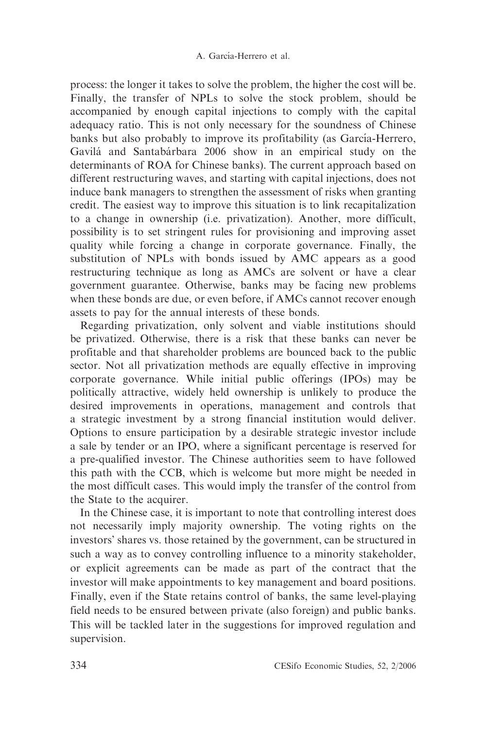process: the longer it takes to solve the problem, the higher the cost will be. Finally, the transfer of NPLs to solve the stock problem, should be accompanied by enough capital injections to comply with the capital adequacy ratio. This is not only necessary for the soundness of Chinese banks but also probably to improve its profitability (as García-Herrero, Gavilá and Santabárbara 2006 show in an empirical study on the determinants of ROA for Chinese banks). The current approach based on different restructuring waves, and starting with capital injections, does not induce bank managers to strengthen the assessment of risks when granting credit. The easiest way to improve this situation is to link recapitalization to a change in ownership (i.e. privatization). Another, more difficult, possibility is to set stringent rules for provisioning and improving asset quality while forcing a change in corporate governance. Finally, the substitution of NPLs with bonds issued by AMC appears as a good restructuring technique as long as AMCs are solvent or have a clear government guarantee. Otherwise, banks may be facing new problems when these bonds are due, or even before, if AMCs cannot recover enough assets to pay for the annual interests of these bonds.

Regarding privatization, only solvent and viable institutions should be privatized. Otherwise, there is a risk that these banks can never be profitable and that shareholder problems are bounced back to the public sector. Not all privatization methods are equally effective in improving corporate governance. While initial public offerings (IPOs) may be politically attractive, widely held ownership is unlikely to produce the desired improvements in operations, management and controls that a strategic investment by a strong financial institution would deliver. Options to ensure participation by a desirable strategic investor include a sale by tender or an IPO, where a significant percentage is reserved for a pre-qualified investor. The Chinese authorities seem to have followed this path with the CCB, which is welcome but more might be needed in the most difficult cases. This would imply the transfer of the control from the State to the acquirer.

In the Chinese case, it is important to note that controlling interest does not necessarily imply majority ownership. The voting rights on the investors' shares vs. those retained by the government, can be structured in such a way as to convey controlling influence to a minority stakeholder, or explicit agreements can be made as part of the contract that the investor will make appointments to key management and board positions. Finally, even if the State retains control of banks, the same level-playing field needs to be ensured between private (also foreign) and public banks. This will be tackled later in the suggestions for improved regulation and supervision.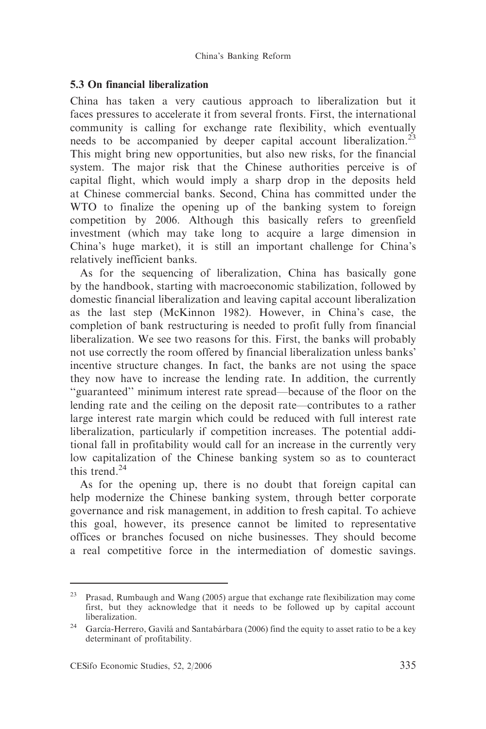## 5.3 On financial liberalization

China has taken a very cautious approach to liberalization but it faces pressures to accelerate it from several fronts. First, the international community is calling for exchange rate flexibility, which eventually needs to be accompanied by deeper capital account liberalization.<sup>23</sup> This might bring new opportunities, but also new risks, for the financial system. The major risk that the Chinese authorities perceive is of capital flight, which would imply a sharp drop in the deposits held at Chinese commercial banks. Second, China has committed under the WTO to finalize the opening up of the banking system to foreign competition by 2006. Although this basically refers to greenfield investment (which may take long to acquire a large dimension in China's huge market), it is still an important challenge for China's relatively inefficient banks.

As for the sequencing of liberalization, China has basically gone by the handbook, starting with macroeconomic stabilization, followed by domestic financial liberalization and leaving capital account liberalization as the last step (McKinnon 1982). However, in China's case, the completion of bank restructuring is needed to profit fully from financial liberalization. We see two reasons for this. First, the banks will probably not use correctly the room offered by financial liberalization unless banks' incentive structure changes. In fact, the banks are not using the space they now have to increase the lending rate. In addition, the currently ''guaranteed'' minimum interest rate spread—because of the floor on the lending rate and the ceiling on the deposit rate—contributes to a rather large interest rate margin which could be reduced with full interest rate liberalization, particularly if competition increases. The potential additional fall in profitability would call for an increase in the currently very low capitalization of the Chinese banking system so as to counteract this trend.<sup>24</sup>

As for the opening up, there is no doubt that foreign capital can help modernize the Chinese banking system, through better corporate governance and risk management, in addition to fresh capital. To achieve this goal, however, its presence cannot be limited to representative offices or branches focused on niche businesses. They should become a real competitive force in the intermediation of domestic savings.

<sup>&</sup>lt;sup>23</sup> Prasad, Rumbaugh and Wang (2005) argue that exchange rate flexibilization may come first, but they acknowledge that it needs to be followed up by capital account liberalization.

 $24$  García-Herrero, Gavilá and Santabárbara (2006) find the equity to asset ratio to be a key determinant of profitability.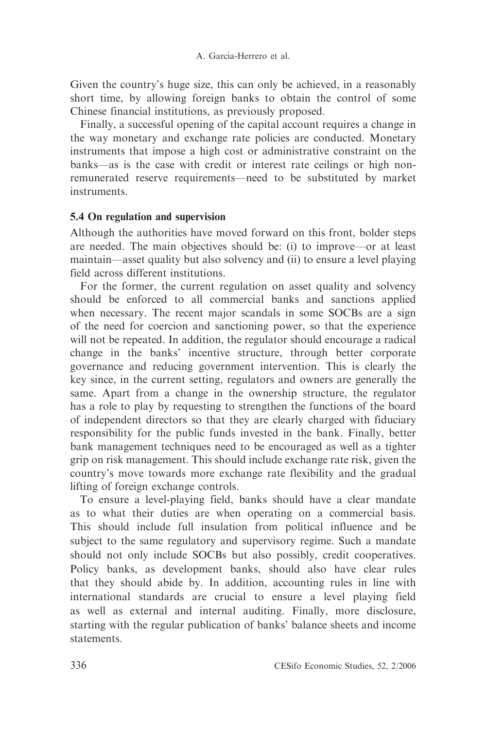Given the country's huge size, this can only be achieved, in a reasonably short time, by allowing foreign banks to obtain the control of some Chinese financial institutions, as previously proposed.

Finally, a successful opening of the capital account requires a change in the way monetary and exchange rate policies are conducted. Monetary instruments that impose a high cost or administrative constraint on the banks—as is the case with credit or interest rate ceilings or high nonremunerated reserve requirements—need to be substituted by market instruments.

## 5.4 On regulation and supervision

Although the authorities have moved forward on this front, bolder steps are needed. The main objectives should be: (i) to improve—or at least maintain—asset quality but also solvency and (ii) to ensure a level playing field across different institutions.

For the former, the current regulation on asset quality and solvency should be enforced to all commercial banks and sanctions applied when necessary. The recent major scandals in some SOCBs are a sign of the need for coercion and sanctioning power, so that the experience will not be repeated. In addition, the regulator should encourage a radical change in the banks' incentive structure, through better corporate governance and reducing government intervention. This is clearly the key since, in the current setting, regulators and owners are generally the same. Apart from a change in the ownership structure, the regulator has a role to play by requesting to strengthen the functions of the board of independent directors so that they are clearly charged with fiduciary responsibility for the public funds invested in the bank. Finally, better bank management techniques need to be encouraged as well as a tighter grip on risk management. This should include exchange rate risk, given the country's move towards more exchange rate flexibility and the gradual lifting of foreign exchange controls.

To ensure a level-playing field, banks should have a clear mandate as to what their duties are when operating on a commercial basis. This should include full insulation from political influence and be subject to the same regulatory and supervisory regime. Such a mandate should not only include SOCBs but also possibly, credit cooperatives. Policy banks, as development banks, should also have clear rules that they should abide by. In addition, accounting rules in line with international standards are crucial to ensure a level playing field as well as external and internal auditing. Finally, more disclosure, starting with the regular publication of banks' balance sheets and income statements.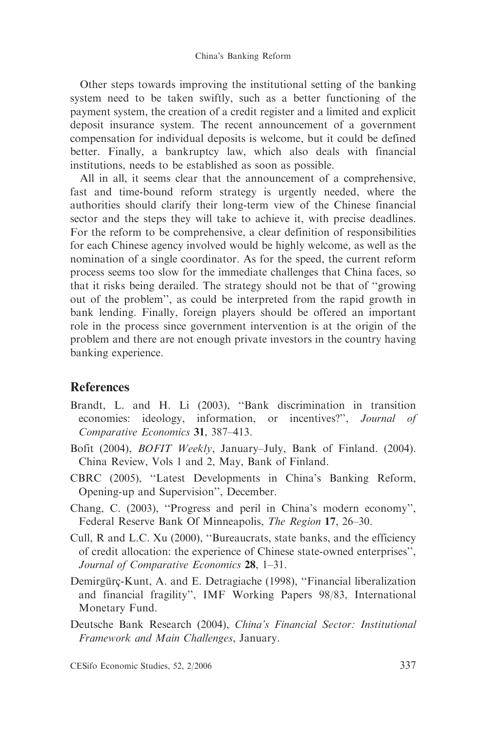Other steps towards improving the institutional setting of the banking system need to be taken swiftly, such as a better functioning of the payment system, the creation of a credit register and a limited and explicit deposit insurance system. The recent announcement of a government compensation for individual deposits is welcome, but it could be defined better. Finally, a bankruptcy law, which also deals with financial institutions, needs to be established as soon as possible.

All in all, it seems clear that the announcement of a comprehensive, fast and time-bound reform strategy is urgently needed, where the authorities should clarify their long-term view of the Chinese financial sector and the steps they will take to achieve it, with precise deadlines. For the reform to be comprehensive, a clear definition of responsibilities for each Chinese agency involved would be highly welcome, as well as the nomination of a single coordinator. As for the speed, the current reform process seems too slow for the immediate challenges that China faces, so that it risks being derailed. The strategy should not be that of ''growing out of the problem'', as could be interpreted from the rapid growth in bank lending. Finally, foreign players should be offered an important role in the process since government intervention is at the origin of the problem and there are not enough private investors in the country having banking experience.

## References

- Brandt, L. and H. Li (2003), "Bank discrimination in transition economies: ideology, information, or incentives?'', Journal of Comparative Economics 31, 387–413.
- Bofit (2004), BOFIT Weekly, January–July, Bank of Finland. (2004). China Review, Vols 1 and 2, May, Bank of Finland.
- CBRC (2005), ''Latest Developments in China's Banking Reform, Opening-up and Supervision'', December.
- Chang, C. (2003), ''Progress and peril in China's modern economy'', Federal Reserve Bank Of Minneapolis, The Region 17, 26–30.
- Cull, R and L.C. Xu (2000), ''Bureaucrats, state banks, and the efficiency of credit allocation: the experience of Chinese state-owned enterprises'', Journal of Comparative Economics 28, 1–31.
- Demirgürc-Kunt, A. and E. Detragiache (1998), "Financial liberalization and financial fragility'', IMF Working Papers 98/83, International Monetary Fund.
- Deutsche Bank Research (2004), China's Financial Sector: Institutional Framework and Main Challenges, January.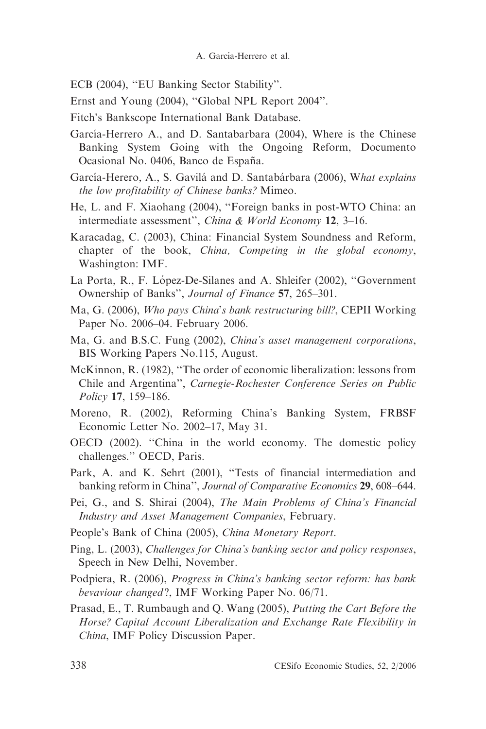A. García-Herrero et al.

- ECB (2004), ''EU Banking Sector Stability''.
- Ernst and Young (2004), ''Global NPL Report 2004''.
- Fitch's Bankscope International Bank Database.
- García-Herrero A., and D. Santabarbara (2004), Where is the Chinese Banking System Going with the Ongoing Reform, Documento Ocasional No. 0406, Banco de España.
- García-Herero, A., S. Gavilá and D. Santabárbara (2006), What explains the low profitability of Chinese banks? Mimeo.
- He, L. and F. Xiaohang (2004), ''Foreign banks in post-WTO China: an intermediate assessment'', China & World Economy 12, 3–16.
- Karacadag, C. (2003), China: Financial System Soundness and Reform, chapter of the book, China, Competing in the global economy, Washington: IMF.
- La Porta, R., F. López-De-Silanes and A. Shleifer (2002), "Government Ownership of Banks'', Journal of Finance 57, 265–301.
- Ma, G. (2006), Who pays China's bank restructuring bill?, CEPII Working Paper No. 2006–04. February 2006.
- Ma, G. and B.S.C. Fung (2002), China's asset management corporations, BIS Working Papers No.115, August.
- McKinnon, R. (1982), ''The order of economic liberalization: lessons from Chile and Argentina'', Carnegie-Rochester Conference Series on Public Policy 17, 159–186.
- Moreno, R. (2002), Reforming China's Banking System, FRBSF Economic Letter No. 2002–17, May 31.
- OECD (2002). ''China in the world economy. The domestic policy challenges.'' OECD, Paris.
- Park, A. and K. Sehrt (2001), "Tests of financial intermediation and banking reform in China'', Journal of Comparative Economics 29, 608–644.
- Pei, G., and S. Shirai (2004), The Main Problems of China's Financial Industry and Asset Management Companies, February.
- People's Bank of China (2005), China Monetary Report.
- Ping, L. (2003), Challenges for China's banking sector and policy responses, Speech in New Delhi, November.
- Podpiera, R. (2006), Progress in China's banking sector reform: has bank bevaviour changed ?, IMF Working Paper No. 06/71.
- Prasad, E., T. Rumbaugh and Q. Wang (2005), Putting the Cart Before the Horse? Capital Account Liberalization and Exchange Rate Flexibility in China, IMF Policy Discussion Paper.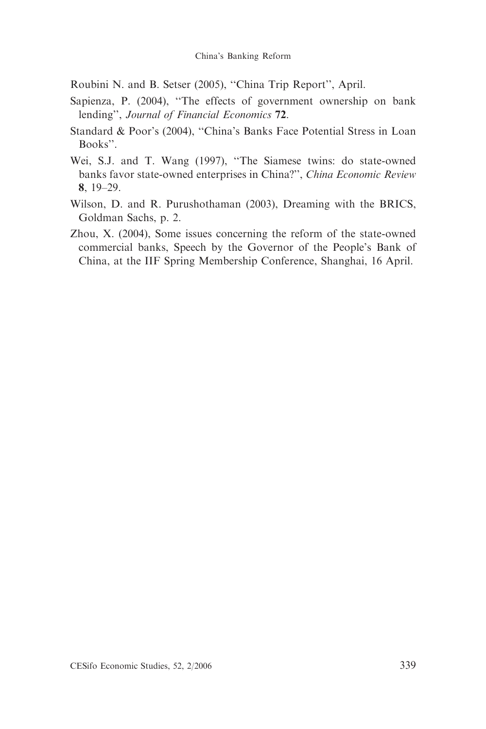Roubini N. and B. Setser (2005), ''China Trip Report'', April.

- Sapienza, P. (2004), ''The effects of government ownership on bank lending'', Journal of Financial Economics 72.
- Standard & Poor's (2004), ''China's Banks Face Potential Stress in Loan Books''.
- Wei, S.J. and T. Wang (1997), ''The Siamese twins: do state-owned banks favor state-owned enterprises in China?'', China Economic Review 8, 19–29.
- Wilson, D. and R. Purushothaman (2003), Dreaming with the BRICS, Goldman Sachs, p. 2.
- Zhou, X. (2004), Some issues concerning the reform of the state-owned commercial banks, Speech by the Governor of the People's Bank of China, at the IIF Spring Membership Conference, Shanghai, 16 April.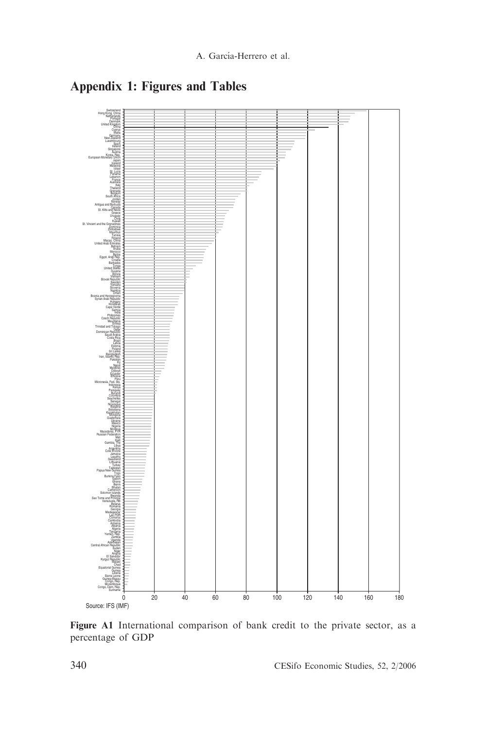

# Appendix 1: Figures and Tables

Figure A1 International comparison of bank credit to the private sector, as a percentage of GDP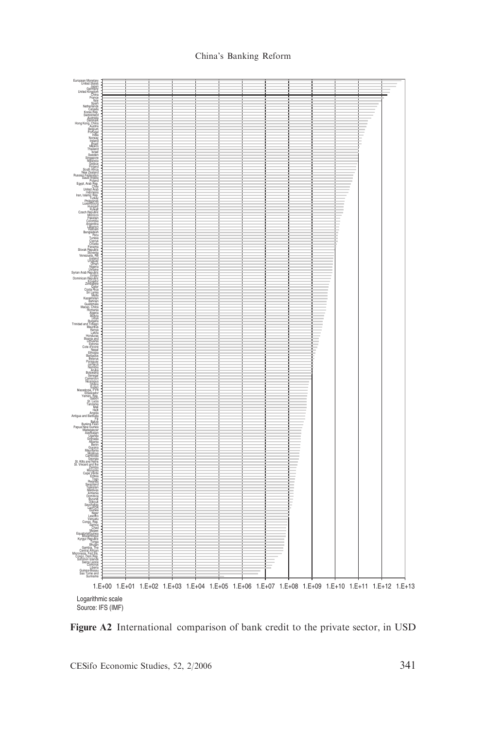#### China's Banking Reform



Figure A2 International comparison of bank credit to the private sector, in USD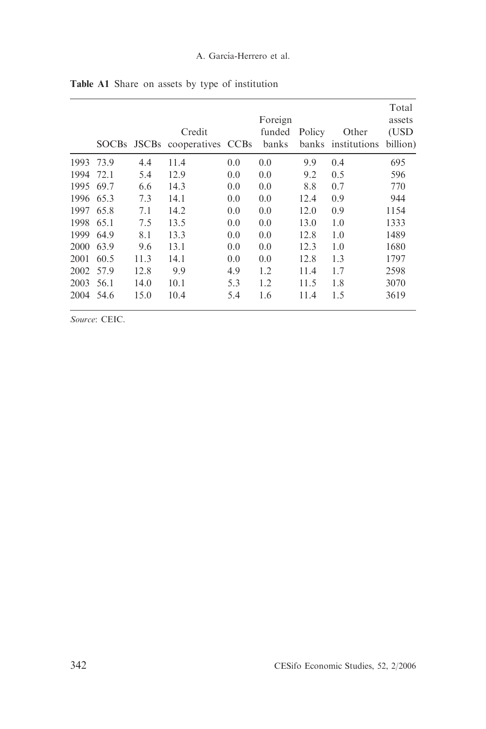|      | SOCBs JSCBs |      | Credit<br>cooperatives CCBs |     | Foreign<br>funded<br>banks | Policy | Other<br>banks institutions | Total<br>assets<br>(USD)<br>billion) |
|------|-------------|------|-----------------------------|-----|----------------------------|--------|-----------------------------|--------------------------------------|
| 1993 | 73.9        | 4.4  | 11.4                        | 0.0 | 0.0                        | 9.9    | 0.4                         | 695                                  |
| 1994 | 72.1        | 5.4  | 12.9                        | 0.0 | 0.0                        | 9.2    | 0.5                         | 596                                  |
| 1995 | 69.7        | 6.6  | 14.3                        | 0.0 | 0.0                        | 8.8    | 0.7                         | 770                                  |
| 1996 | 65.3        | 7.3  | 14.1                        | 0.0 | 0.0                        | 12.4   | 0.9                         | 944                                  |
| 1997 | 65.8        | 7.1  | 14.2                        | 0.0 | 0.0                        | 12.0   | 0.9                         | 1154                                 |
| 1998 | 65.1        | 7.5  | 13.5                        | 0.0 | 0.0                        | 13.0   | 1.0                         | 1333                                 |
| 1999 | 64.9        | 8.1  | 13.3                        | 0.0 | 0.0                        | 12.8   | 1.0                         | 1489                                 |
| 2000 | 63.9        | 9.6  | 13.1                        | 0.0 | 0.0                        | 12.3   | 1.0                         | 1680                                 |
| 2001 | 60.5        | 11.3 | 14.1                        | 0.0 | 0.0                        | 12.8   | 1.3                         | 1797                                 |
| 2002 | 57.9        | 12.8 | 9.9                         | 4.9 | 1.2                        | 11.4   | 1.7                         | 2598                                 |
| 2003 | 56.1        | 14.0 | 10.1                        | 5.3 | 1.2.                       | 11.5   | 1.8                         | 3070                                 |
| 2004 | -54.6       | 15.0 | 10.4                        | 5.4 | 1.6                        | 11.4   | 1.5                         | 3619                                 |

Table A1 Share on assets by type of institution

Source: CEIC.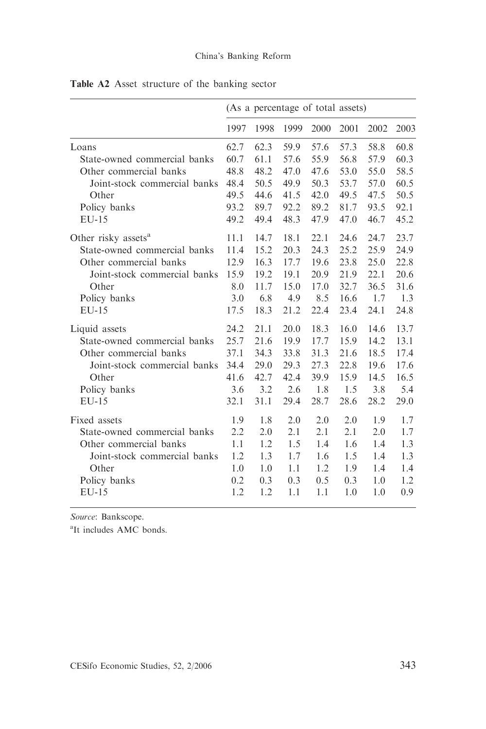|                                 | (As a percentage of total assets) |      |      |      |      |      |      |
|---------------------------------|-----------------------------------|------|------|------|------|------|------|
|                                 | 1997                              | 1998 | 1999 | 2000 | 2001 | 2002 | 2003 |
| Loans                           | 62.7                              | 62.3 | 59.9 | 57.6 | 57.3 | 58.8 | 60.8 |
| State-owned commercial banks    | 60.7                              | 61.1 | 57.6 | 55.9 | 56.8 | 57.9 | 60.3 |
| Other commercial banks          | 48.8                              | 48.2 | 47.0 | 47.6 | 53.0 | 55.0 | 58.5 |
| Joint-stock commercial banks    | 48.4                              | 50.5 | 49.9 | 50.3 | 53.7 | 57.0 | 60.5 |
| Other                           | 49.5                              | 44.6 | 41.5 | 42.0 | 49.5 | 47.5 | 50.5 |
| Policy banks                    | 93.2                              | 89.7 | 92.2 | 89.2 | 81.7 | 93.5 | 92.1 |
| $EU-15$                         | 49.2                              | 49.4 | 48.3 | 47.9 | 47.0 | 46.7 | 45.2 |
| Other risky assets <sup>a</sup> | 11.1                              | 14.7 | 18.1 | 22.1 | 24.6 | 24.7 | 23.7 |
| State-owned commercial banks    | 11.4                              | 15.2 | 20.3 | 24.3 | 25.2 | 25.9 | 24.9 |
| Other commercial banks          | 12.9                              | 16.3 | 17.7 | 19.6 | 23.8 | 25.0 | 22.8 |
| Joint-stock commercial banks    | 15.9                              | 19.2 | 19.1 | 20.9 | 21.9 | 22.1 | 20.6 |
| Other                           | 8.0                               | 11.7 | 15.0 | 17.0 | 32.7 | 36.5 | 31.6 |
| Policy banks                    | 3.0                               | 6.8  | 4.9  | 8.5  | 16.6 | 1.7  | 1.3  |
| $EU-15$                         | 17.5                              | 18.3 | 21.2 | 22.4 | 23.4 | 24.1 | 24.8 |
| Liquid assets                   | 24.2                              | 21.1 | 20.0 | 18.3 | 16.0 | 14.6 | 13.7 |
| State-owned commercial banks    | 25.7                              | 21.6 | 19.9 | 17.7 | 15.9 | 14.2 | 13.1 |
| Other commercial banks          | 37.1                              | 34.3 | 33.8 | 31.3 | 21.6 | 18.5 | 17.4 |
| Joint-stock commercial banks    | 34.4                              | 29.0 | 29.3 | 27.3 | 22.8 | 19.6 | 17.6 |
| Other                           | 41.6                              | 42.7 | 42.4 | 39.9 | 15.9 | 14.5 | 16.5 |
| Policy banks                    | 3.6                               | 3.2  | 2.6  | 1.8  | 1.5  | 3.8  | 5.4  |
| $EU-15$                         | 32.1                              | 31.1 | 29.4 | 28.7 | 28.6 | 28.2 | 29.0 |
| Fixed assets                    | 1.9                               | 1.8  | 2.0  | 2.0  | 2.0  | 1.9  | 1.7  |
| State-owned commercial banks    | 2.2                               | 2.0  | 2.1  | 2.1  | 2.1  | 2.0  | 1.7  |
| Other commercial banks          | 1.1                               | 1.2  | 1.5  | 1.4  | 1.6  | 1.4  | 1.3  |
| Joint-stock commercial banks    | 1.2                               | 1.3  | 1.7  | 1.6  | 1.5  | 1.4  | 1.3  |
| Other                           | 1.0                               | 1.0  | 1.1  | 1.2  | 1.9  | 1.4  | 1.4  |
| Policy banks                    | 0.2                               | 0.3  | 0.3  | 0.5  | 0.3  | 1.0  | 1.2  |
| $EU-15$                         | 1.2                               | 1.2  | 1.1  | 1.1  | 1.0  | 1.0  | 0.9  |

Table A2 Asset structure of the banking sector

Source: Bankscope.

<sup>a</sup>It includes AMC bonds.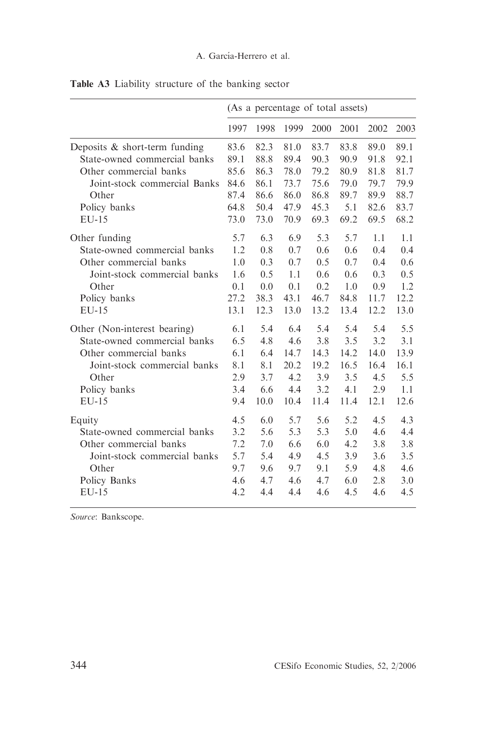|                                  | (As a percentage of total assets) |      |      |      |      |      |      |
|----------------------------------|-----------------------------------|------|------|------|------|------|------|
|                                  | 1997                              | 1998 | 1999 | 2000 | 2001 | 2002 | 2003 |
| Deposits $\&$ short-term funding | 83.6                              | 82.3 | 81.0 | 83.7 | 83.8 | 89.0 | 89.1 |
| State-owned commercial banks     | 89.1                              | 88.8 | 89.4 | 90.3 | 90.9 | 91.8 | 92.1 |
| Other commercial banks           | 85.6                              | 86.3 | 78.0 | 79.2 | 80.9 | 81.8 | 81.7 |
| Joint-stock commercial Banks     | 84.6                              | 86.1 | 73.7 | 75.6 | 79.0 | 79.7 | 79.9 |
| Other                            | 87.4                              | 86.6 | 86.0 | 86.8 | 89.7 | 89.9 | 88.7 |
| Policy banks                     | 64.8                              | 50.4 | 47.9 | 45.3 | 5.1  | 82.6 | 83.7 |
| $EU-15$                          | 73.0                              | 73.0 | 70.9 | 69.3 | 69.2 | 69.5 | 68.2 |
| Other funding                    | 5.7                               | 6.3  | 6.9  | 5.3  | 5.7  | 1.1  | 1.1  |
| State-owned commercial banks     | 1.2                               | 0.8  | 0.7  | 0.6  | 0.6  | 0.4  | 0.4  |
| Other commercial banks           | 1.0                               | 0.3  | 0.7  | 0.5  | 0.7  | 0.4  | 0.6  |
| Joint-stock commercial banks     | 1.6                               | 0.5  | 1.1  | 0.6  | 0.6  | 0.3  | 0.5  |
| Other                            | 0.1                               | 0.0  | 0.1  | 0.2  | 1.0  | 0.9  | 1.2  |
| Policy banks                     | 27.2                              | 38.3 | 43.1 | 46.7 | 84.8 | 11.7 | 12.2 |
| $EU-15$                          | 13.1                              | 12.3 | 13.0 | 13.2 | 13.4 | 12.2 | 13.0 |
| Other (Non-interest bearing)     | 6.1                               | 5.4  | 6.4  | 5.4  | 5.4  | 5.4  | 5.5  |
| State-owned commercial banks     | 6.5                               | 4.8  | 4.6  | 3.8  | 3.5  | 3.2  | 3.1  |
| Other commercial banks           | 6.1                               | 6.4  | 14.7 | 14.3 | 14.2 | 14.0 | 13.9 |
| Joint-stock commercial banks     | 8.1                               | 8.1  | 20.2 | 19.2 | 16.5 | 16.4 | 16.1 |
| Other                            | 2.9                               | 3.7  | 4.2  | 3.9  | 3.5  | 4.5  | 5.5  |
| Policy banks                     | 3.4                               | 6.6  | 4.4  | 3.2  | 4.1  | 2.9  | 1.1  |
| $EU-15$                          | 9.4                               | 10.0 | 10.4 | 11.4 | 11.4 | 12.1 | 12.6 |
| Equity                           | 4.5                               | 6.0  | 5.7  | 5.6  | 5.2  | 4.5  | 4.3  |
| State-owned commercial banks     | 3.2                               | 5.6  | 5.3  | 5.3  | 5.0  | 4.6  | 4.4  |
| Other commercial banks           | 7.2                               | 7.0  | 6.6  | 6.0  | 4.2  | 3.8  | 3.8  |
| Joint-stock commercial banks     | 5.7                               | 5.4  | 4.9  | 4.5  | 3.9  | 3.6  | 3.5  |
| Other                            | 9.7                               | 9.6  | 9.7  | 9.1  | 5.9  | 4.8  | 4.6  |
| Policy Banks                     | 4.6                               | 4.7  | 4.6  | 4.7  | 6.0  | 2.8  | 3.0  |
| $EU-15$                          | 4.2                               | 4.4  | 4.4  | 4.6  | 4.5  | 4.6  | 4.5  |

Table A3 Liability structure of the banking sector

Source: Bankscope.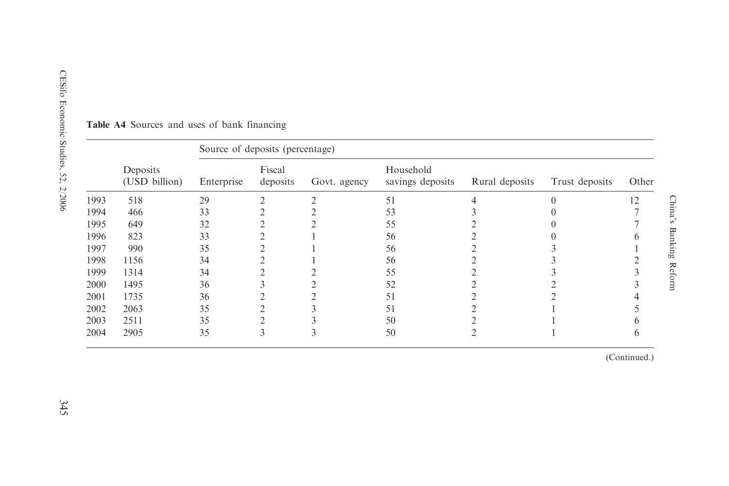| Deposits<br>(USD billion)<br>518<br>466<br>649<br>823<br>990 | Source of deposits (percentage) |            |                    |              |                               |                |                |               |
|--------------------------------------------------------------|---------------------------------|------------|--------------------|--------------|-------------------------------|----------------|----------------|---------------|
|                                                              |                                 | Enterprise | Fiscal<br>deposits | Govt. agency | Household<br>savings deposits | Rural deposits | Trust deposits | Other         |
| 1993                                                         |                                 | 29         |                    |              | 51                            |                |                | $\mathcal{D}$ |
| 1994                                                         |                                 | 33         |                    |              | 53                            |                |                |               |
| 1995                                                         |                                 | 32         |                    |              | 55                            |                |                |               |
| 1996                                                         |                                 | 33         |                    |              | 56                            |                |                |               |
| 1997                                                         |                                 | 35         |                    |              | 56                            |                |                |               |
| 1998                                                         | 1156                            | 34         |                    |              | 56                            |                |                |               |
| 1999                                                         | 1314                            | 34         |                    |              | 55                            |                |                |               |
| 2000                                                         | 1495                            | 36         |                    |              | 52                            |                |                |               |
| 2001                                                         | 1735                            | 36         |                    |              | 51                            |                |                |               |
| 2002                                                         | 2063                            | 35         |                    |              | 51                            |                |                |               |
| 2003                                                         | 2511                            | 35         |                    |              | 50                            |                |                |               |
| 2004                                                         | 2905                            | 35         | 3                  |              | 50                            |                |                |               |

Table A4 Sources and uses of bank financing

(Continued.)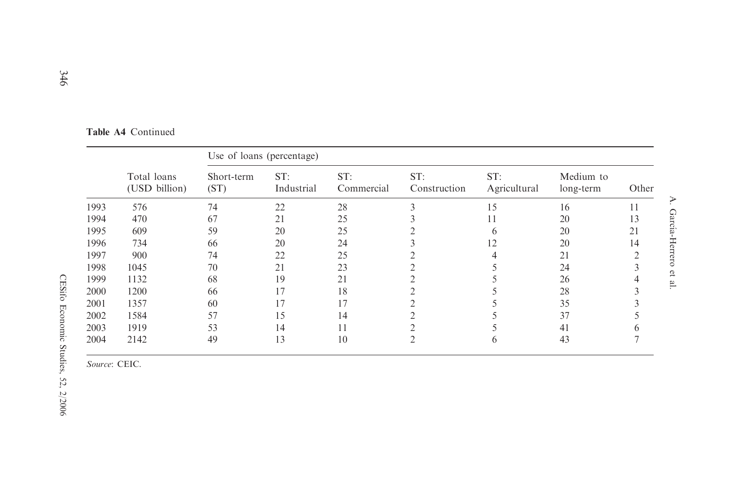#### Table A4 Continued

|      |                                                                 | Use of loans (percentage) |                   |                   |                     |                     |                        |       |  |  |  |  |
|------|-----------------------------------------------------------------|---------------------------|-------------------|-------------------|---------------------|---------------------|------------------------|-------|--|--|--|--|
|      | Total loans<br>(USD billion)<br>576<br>470<br>609<br>734<br>900 | Short-term<br>(ST)        | ST:<br>Industrial | ST:<br>Commercial | ST:<br>Construction | ST:<br>Agricultural | Medium to<br>long-term | Other |  |  |  |  |
| 1993 |                                                                 | 74                        | 22                | 28                |                     | 15                  | 16                     | 11    |  |  |  |  |
| 1994 |                                                                 | 67                        | 21                | 25                |                     |                     | 20                     | 13    |  |  |  |  |
| 1995 |                                                                 | 59                        | 20                | 25                |                     | h                   | 20                     | 21    |  |  |  |  |
| 1996 |                                                                 | 66                        | 20                | 24                |                     | 12                  | 20                     | 14    |  |  |  |  |
| 1997 |                                                                 | 74                        | 22                | 25                |                     |                     | 21                     |       |  |  |  |  |
| 1998 | 1045                                                            | 70                        | 21                | 23                |                     |                     | 24                     |       |  |  |  |  |
| 1999 | 1132                                                            | 68                        | 19                | 21                |                     |                     | 26                     |       |  |  |  |  |
| 2000 | 1200                                                            | 66                        | 17                | 18                |                     |                     | 28                     |       |  |  |  |  |
| 2001 | 1357                                                            | 60                        | 17                | 17                |                     |                     | 35                     |       |  |  |  |  |
| 2002 | 1584                                                            | 57                        | 15                | 14                |                     |                     | 37                     |       |  |  |  |  |
| 2003 | 1919                                                            | 53                        | 14                | 11                |                     |                     | 41                     |       |  |  |  |  |
| 2004 | 2142                                                            | 49                        | 13                | 10                |                     | h                   | 43                     |       |  |  |  |  |

Source: CEIC.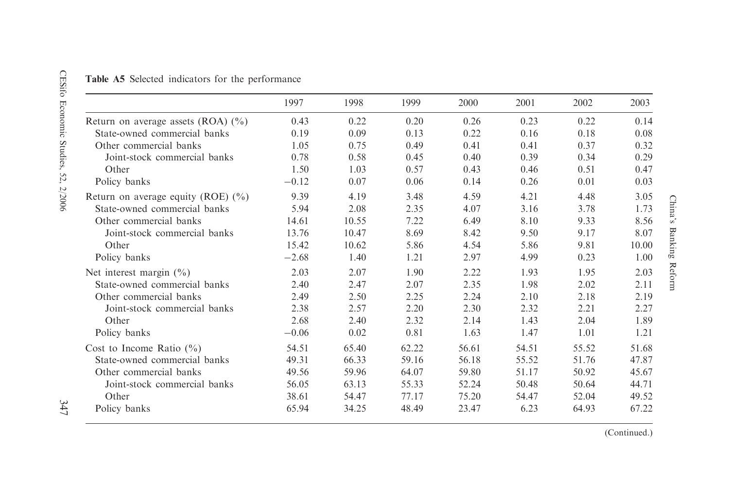|                                        | 1997    | 1998  | 1999  | 2000  | 2001  | 2002  | 2003  |
|----------------------------------------|---------|-------|-------|-------|-------|-------|-------|
| Return on average assets (ROA) $(\%$ ) | 0.43    | 0.22  | 0.20  | 0.26  | 0.23  | 0.22  | 0.14  |
| State-owned commercial banks           | 0.19    | 0.09  | 0.13  | 0.22  | 0.16  | 0.18  | 0.08  |
| Other commercial banks                 | 1.05    | 0.75  | 0.49  | 0.41  | 0.41  | 0.37  | 0.32  |
| Joint-stock commercial banks           | 0.78    | 0.58  | 0.45  | 0.40  | 0.39  | 0.34  | 0.29  |
| Other                                  | 1.50    | 1.03  | 0.57  | 0.43  | 0.46  | 0.51  | 0.47  |
| Policy banks                           | $-0.12$ | 0.07  | 0.06  | 0.14  | 0.26  | 0.01  | 0.03  |
| Return on average equity (ROE) $(\%)$  | 9.39    | 4.19  | 3.48  | 4.59  | 4.21  | 4.48  | 3.05  |
| State-owned commercial banks           | 5.94    | 2.08  | 2.35  | 4.07  | 3.16  | 3.78  | 1.73  |
| Other commercial banks                 | 14.61   | 10.55 | 7.22  | 6.49  | 8.10  | 9.33  | 8.56  |
| Joint-stock commercial banks           | 13.76   | 10.47 | 8.69  | 8.42  | 9.50  | 9.17  | 8.07  |
| Other                                  | 15.42   | 10.62 | 5.86  | 4.54  | 5.86  | 9.81  | 10.00 |
| Policy banks                           | $-2.68$ | 1.40  | 1.21  | 2.97  | 4.99  | 0.23  | 1.00  |
| Net interest margin $(\% )$            | 2.03    | 2.07  | 1.90  | 2.22  | 1.93  | 1.95  | 2.03  |
| State-owned commercial banks           | 2.40    | 2.47  | 2.07  | 2.35  | 1.98  | 2.02  | 2.11  |
| Other commercial banks                 | 2.49    | 2.50  | 2.25  | 2.24  | 2.10  | 2.18  | 2.19  |
| Joint-stock commercial banks           | 2.38    | 2.57  | 2.20  | 2.30  | 2.32  | 2.21  | 2.27  |
| Other                                  | 2.68    | 2.40  | 2.32  | 2.14  | 1.43  | 2.04  | 1.89  |
| Policy banks                           | $-0.06$ | 0.02  | 0.81  | 1.63  | 1.47  | 1.01  | 1.21  |
| Cost to Income Ratio $(\% )$           | 54.51   | 65.40 | 62.22 | 56.61 | 54.51 | 55.52 | 51.68 |
| State-owned commercial banks           | 49.31   | 66.33 | 59.16 | 56.18 | 55.52 | 51.76 | 47.87 |
| Other commercial banks                 | 49.56   | 59.96 | 64.07 | 59.80 | 51.17 | 50.92 | 45.67 |
| Joint-stock commercial banks           | 56.05   | 63.13 | 55.33 | 52.24 | 50.48 | 50.64 | 44.71 |
| Other                                  | 38.61   | 54.47 | 77.17 | 75.20 | 54.47 | 52.04 | 49.52 |
| Policy banks                           | 65.94   | 34.25 | 48.49 | 23.47 | 6.23  | 64.93 | 67.22 |

China's Banking Reform China's Banking Reform

347

(Continued.)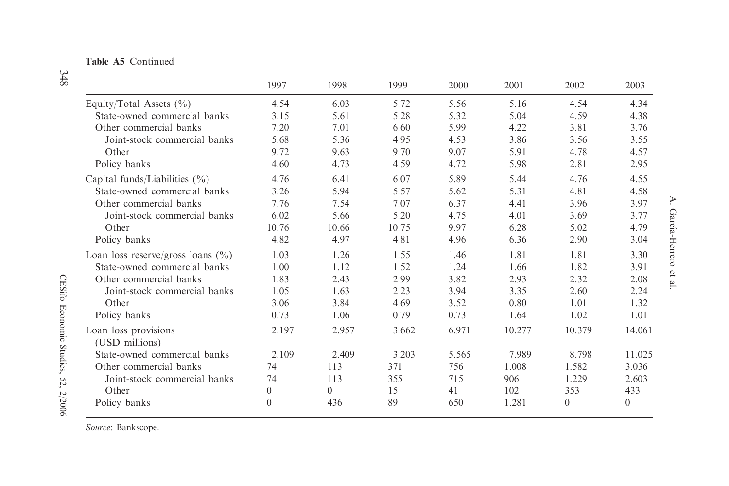#### Table A5 Continued

|                                        | 1997           | 1998     | 1999  | 2000  | 2001   | 2002     | 2003           |
|----------------------------------------|----------------|----------|-------|-------|--------|----------|----------------|
| Equity/Total Assets $(\% )$            | 4.54           | 6.03     | 5.72  | 5.56  | 5.16   | 4.54     | 4.34           |
| State-owned commercial banks           | 3.15           | 5.61     | 5.28  | 5.32  | 5.04   | 4.59     | 4.38           |
| Other commercial banks                 | 7.20           | 7.01     | 6.60  | 5.99  | 4.22   | 3.81     | 3.76           |
| Joint-stock commercial banks           | 5.68           | 5.36     | 4.95  | 4.53  | 3.86   | 3.56     | 3.55           |
| Other                                  | 9.72           | 9.63     | 9.70  | 9.07  | 5.91   | 4.78     | 4.57           |
| Policy banks                           | 4.60           | 4.73     | 4.59  | 4.72  | 5.98   | 2.81     | 2.95           |
| Capital funds/Liabilities $(\% )$      | 4.76           | 6.41     | 6.07  | 5.89  | 5.44   | 4.76     | 4.55           |
| State-owned commercial banks           | 3.26           | 5.94     | 5.57  | 5.62  | 5.31   | 4.81     | 4.58           |
| Other commercial banks                 | 7.76           | 7.54     | 7.07  | 6.37  | 4.41   | 3.96     | 3.97           |
| Joint-stock commercial banks           | 6.02           | 5.66     | 5.20  | 4.75  | 4.01   | 3.69     | 3.77           |
| Other                                  | 10.76          | 10.66    | 10.75 | 9.97  | 6.28   | 5.02     | 4.79           |
| Policy banks                           | 4.82           | 4.97     | 4.81  | 4.96  | 6.36   | 2.90     | 3.04           |
| Loan loss reserve/gross loans $(\% )$  | 1.03           | 1.26     | 1.55  | 1.46  | 1.81   | 1.81     | 3.30           |
| State-owned commercial banks           | 1.00           | 1.12     | 1.52  | 1.24  | 1.66   | 1.82     | 3.91           |
| Other commercial banks                 | 1.83           | 2.43     | 2.99  | 3.82  | 2.93   | 2.32     | 2.08           |
| Joint-stock commercial banks           | 1.05           | 1.63     | 2.23  | 3.94  | 3.35   | 2.60     | 2.24           |
| Other                                  | 3.06           | 3.84     | 4.69  | 3.52  | 0.80   | 1.01     | 1.32           |
| Policy banks                           | 0.73           | 1.06     | 0.79  | 0.73  | 1.64   | 1.02     | 1.01           |
| Loan loss provisions<br>(USD millions) | 2.197          | 2.957    | 3.662 | 6.971 | 10.277 | 10.379   | 14.061         |
| State-owned commercial banks           | 2.109          | 2.409    | 3.203 | 5.565 | 7.989  | 8.798    | 11.025         |
| Other commercial banks                 | 74             | 113      | 371   | 756   | 1.008  | 1.582    | 3.036          |
| Joint-stock commercial banks           | 74             | 113      | 355   | 715   | 906    | 1.229    | 2.603          |
| Other                                  | $\overline{0}$ | $\Omega$ | 15    | 41    | 102    | 353      | 433            |
| Policy banks                           | $\theta$       | 436      | 89    | 650   | 1.281  | $\theta$ | $\overline{0}$ |

Source: Bankscope.

# 348

CESifo Economic Studies, 52, 2/2006

CESifo Economic Studies, 52, 2/2006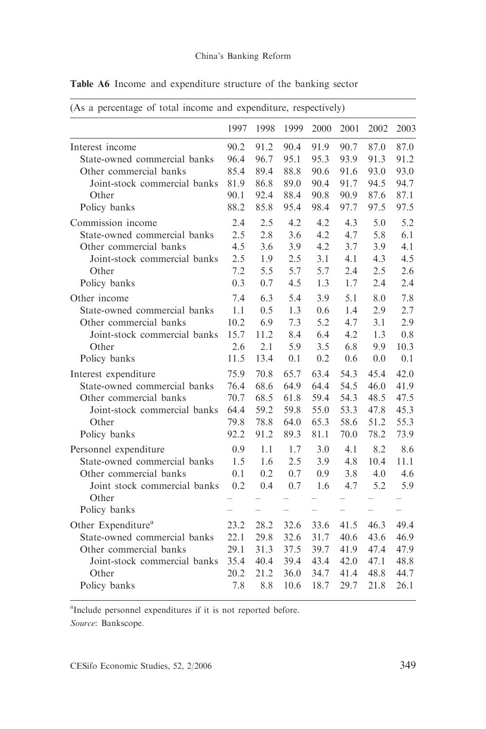| (As a percentage of total income and expenditure, respectively) |      |      |      |      |                          |                          |      |
|-----------------------------------------------------------------|------|------|------|------|--------------------------|--------------------------|------|
|                                                                 | 1997 | 1998 | 1999 | 2000 | 2001                     | 2002                     | 2003 |
| Interest income                                                 | 90.2 | 91.2 | 90.4 | 91.9 | 90.7                     | 87.0                     | 87.0 |
| State-owned commercial banks                                    | 96.4 | 96.7 | 95.1 | 95.3 | 93.9                     | 91.3                     | 91.2 |
| Other commercial banks                                          | 85.4 | 89.4 | 88.8 | 90.6 | 91.6                     | 93.0                     | 93.0 |
| Joint-stock commercial banks                                    | 81.9 | 86.8 | 89.0 | 90.4 | 91.7                     | 94.5                     | 94.7 |
| Other                                                           | 90.1 | 92.4 | 88.4 | 90.8 | 90.9                     | 87.6                     | 87.1 |
| Policy banks                                                    | 88.2 | 85.8 | 95.4 | 98.4 | 97.7                     | 97.5                     | 97.5 |
| Commission income                                               | 2.4  | 2.5  | 4.2  | 4.2  | 4.3                      | 5.0                      | 5.2  |
| State-owned commercial banks                                    | 2.5  | 2.8  | 3.6  | 4.2  | 4.7                      | 5.8                      | 6.1  |
| Other commercial banks                                          | 4.5  | 3.6  | 3.9  | 4.2  | 3.7                      | 3.9                      | 4.1  |
| Joint-stock commercial banks                                    | 2.5  | 1.9  | 2.5  | 3.1  | 4.1                      | 4.3                      | 4.5  |
| Other                                                           | 7.2  | 5.5  | 5.7  | 5.7  | 2.4                      | 2.5                      | 2.6  |
| Policy banks                                                    | 0.3  | 0.7  | 4.5  | 1.3  | 1.7                      | 2.4                      | 2.4  |
| Other income                                                    | 7.4  | 6.3  | 5.4  | 3.9  | 5.1                      | 8.0                      | 7.8  |
| State-owned commercial banks                                    | 1.1  | 0.5  | 1.3  | 0.6  | 1.4                      | 2.9                      | 2.7  |
| Other commercial banks                                          | 10.2 | 6.9  | 7.3  | 5.2  | 4.7                      | 3.1                      | 2.9  |
| Joint-stock commercial banks                                    | 15.7 | 11.2 | 8.4  | 6.4  | 4.2                      | 1.3                      | 0.8  |
| Other                                                           | 2.6  | 2.1  | 5.9  | 3.5  | 6.8                      | 9.9                      | 10.3 |
| Policy banks                                                    | 11.5 | 13.4 | 0.1  | 0.2  | 0.6                      | 0.0                      | 0.1  |
| Interest expenditure                                            | 75.9 | 70.8 | 65.7 | 63.4 | 54.3                     | 45.4                     | 42.0 |
| State-owned commercial banks                                    | 76.4 | 68.6 | 64.9 | 64.4 | 54.5                     | 46.0                     | 41.9 |
| Other commercial banks                                          | 70.7 | 68.5 | 61.8 | 59.4 | 54.3                     | 48.5                     | 47.5 |
| Joint-stock commercial banks                                    | 64.4 | 59.2 | 59.8 | 55.0 | 53.3                     | 47.8                     | 45.3 |
| Other                                                           | 79.8 | 78.8 | 64.0 | 65.3 | 58.6                     | 51.2                     | 55.3 |
| Policy banks                                                    | 92.2 | 91.2 | 89.3 | 81.1 | 70.0                     | 78.2                     | 73.9 |
| Personnel expenditure                                           | 0.9  | 1.1  | 1.7  | 3.0  | 4.1                      | 8.2                      | 8.6  |
| State-owned commercial banks                                    | 1.5  | 1.6  | 2.5  | 3.9  | 4.8                      | 10.4                     | 11.1 |
| Other commercial banks                                          | 0.1  | 0.2  | 0.7  | 0.9  | 3.8                      | 4.0                      | 4.6  |
| Joint stock commercial banks                                    | 0.2  | 0.4  | 0.7  | 1.6  | 4.7                      | 5.2                      | 5.9  |
| Other                                                           |      |      |      |      |                          | $\overline{\phantom{0}}$ |      |
| Policy banks                                                    |      |      |      |      | $\overline{\phantom{0}}$ | $\overline{\phantom{0}}$ |      |
| Other Expenditure <sup>a</sup>                                  | 23.2 | 28.2 | 32.6 | 33.6 | 41.5                     | 46.3                     | 49.4 |
| State-owned commercial banks                                    | 22.1 | 29.8 | 32.6 | 31.7 | 40.6                     | 43.6                     | 46.9 |
| Other commercial banks                                          | 29.1 | 31.3 | 37.5 | 39.7 | 41.9                     | 47.4                     | 47.9 |
| Joint-stock commercial banks                                    | 35.4 | 40.4 | 39.4 | 43.4 | 42.0                     | 47.1                     | 48.8 |
| Other                                                           | 20.2 | 21.2 | 36.0 | 34.7 | 41.4                     | 48.8                     | 44.7 |
| Policy banks                                                    | 7.8  | 8.8  | 10.6 | 18.7 | 29.7                     | 21.8                     | 26.1 |

Table A6 Income and expenditure structure of the banking sector

a Include personnel expenditures if it is not reported before.

Source: Bankscope.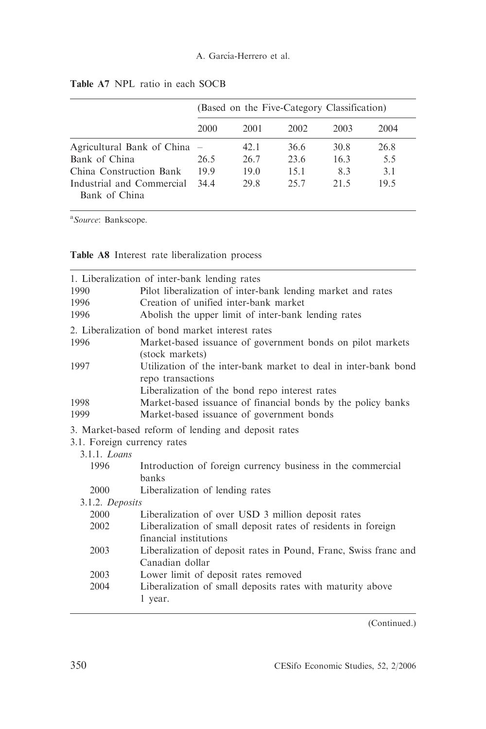|                                            | (Based on the Five-Category Classification) |      |      |      |      |
|--------------------------------------------|---------------------------------------------|------|------|------|------|
|                                            | 2000                                        | 2001 | 2002 | 2003 | 2004 |
| Agricultural Bank of China –               |                                             | 42.1 | 36.6 | 30.8 | 26.8 |
| Bank of China                              | 26.5                                        | 26.7 | 23.6 | 16.3 | 5.5  |
| China Construction Bank                    | 19.9                                        | 19.0 | 15.1 | 83   | 3.1  |
| Industrial and Commercial<br>Bank of China | 344                                         | 29.8 | 25.7 | 21.5 | 19.5 |

| <b>Table A7 NPL ratio in each SOCB</b> |  |  |  |
|----------------------------------------|--|--|--|
|----------------------------------------|--|--|--|

<sup>a</sup>Source: Bankscope.

| 1990<br>1996<br>1996        | 1. Liberalization of inter-bank lending rates<br>Pilot liberalization of inter-bank lending market and rates<br>Creation of unified inter-bank market<br>Abolish the upper limit of inter-bank lending rates |  |  |  |  |  |  |  |
|-----------------------------|--------------------------------------------------------------------------------------------------------------------------------------------------------------------------------------------------------------|--|--|--|--|--|--|--|
|                             | 2. Liberalization of bond market interest rates                                                                                                                                                              |  |  |  |  |  |  |  |
| 1996                        | Market-based issuance of government bonds on pilot markets<br>(stock markets)                                                                                                                                |  |  |  |  |  |  |  |
| 1997                        | Utilization of the inter-bank market to deal in inter-bank bond<br>repo transactions                                                                                                                         |  |  |  |  |  |  |  |
|                             | Liberalization of the bond repo interest rates                                                                                                                                                               |  |  |  |  |  |  |  |
| 1998                        | Market-based issuance of financial bonds by the policy banks                                                                                                                                                 |  |  |  |  |  |  |  |
| 1999                        | Market-based issuance of government bonds                                                                                                                                                                    |  |  |  |  |  |  |  |
|                             | 3. Market-based reform of lending and deposit rates                                                                                                                                                          |  |  |  |  |  |  |  |
| 3.1. Foreign currency rates |                                                                                                                                                                                                              |  |  |  |  |  |  |  |
| $3.1.1$ <i>Loans</i>        |                                                                                                                                                                                                              |  |  |  |  |  |  |  |
| 1996                        | Introduction of foreign currency business in the commercial<br>banks                                                                                                                                         |  |  |  |  |  |  |  |
| 2000                        | Liberalization of lending rates                                                                                                                                                                              |  |  |  |  |  |  |  |
| 3.1.2. Deposits             |                                                                                                                                                                                                              |  |  |  |  |  |  |  |
| 2000                        | Liberalization of over USD 3 million deposit rates                                                                                                                                                           |  |  |  |  |  |  |  |
| 2002                        | Liberalization of small deposit rates of residents in foreign                                                                                                                                                |  |  |  |  |  |  |  |
|                             | financial institutions                                                                                                                                                                                       |  |  |  |  |  |  |  |
| 2003                        | Liberalization of deposit rates in Pound, Franc, Swiss franc and<br>Canadian dollar                                                                                                                          |  |  |  |  |  |  |  |
| 2003                        | Lower limit of deposit rates removed                                                                                                                                                                         |  |  |  |  |  |  |  |
| 2004                        | Liberalization of small deposits rates with maturity above<br>1 year.                                                                                                                                        |  |  |  |  |  |  |  |

Table A8 Interest rate liberalization process

(Continued.)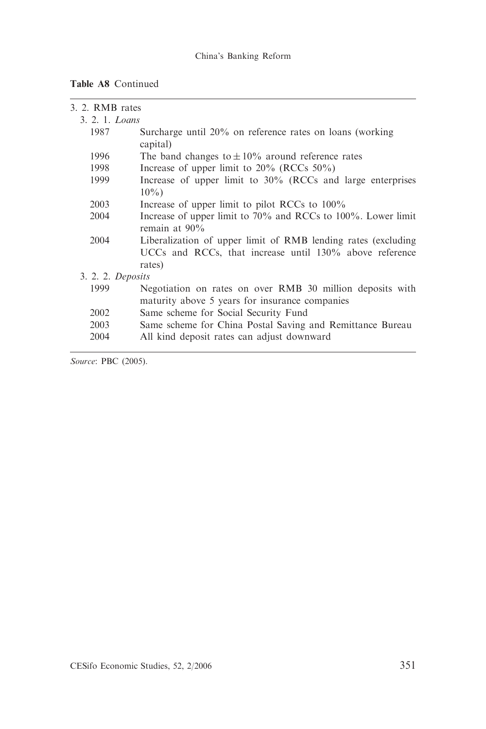|  | <b>Table A8 Continued</b> |
|--|---------------------------|
|  |                           |

| 3. 2. RMB rates   |                                                                                                                                    |
|-------------------|------------------------------------------------------------------------------------------------------------------------------------|
| 3. 2. 1. Loans    |                                                                                                                                    |
| 1987              | Surcharge until 20% on reference rates on loans (working<br>capital)                                                               |
| 1996              | The band changes to $\pm 10\%$ around reference rates                                                                              |
| 1998              | Increase of upper limit to $20\%$ (RCCs $50\%$ )                                                                                   |
| 1999              | Increase of upper limit to $30\%$ (RCCs and large enterprises<br>$10\%$ )                                                          |
| 2003              | Increase of upper limit to pilot RCCs to 100%                                                                                      |
| 2004              | Increase of upper limit to 70% and RCCs to 100%. Lower limit<br>remain at $90\%$                                                   |
| 2004              | Liberalization of upper limit of RMB lending rates (excluding<br>UCCs and RCCs, that increase until 130% above reference<br>rates) |
| 3. 2. 2. Deposits |                                                                                                                                    |
| 1999              | Negotiation on rates on over RMB 30 million deposits with<br>maturity above 5 years for insurance companies                        |
| 2002              | Same scheme for Social Security Fund                                                                                               |
| 2003              | Same scheme for China Postal Saving and Remittance Bureau                                                                          |
| 2004              | All kind deposit rates can adjust downward                                                                                         |

Source: PBC (2005).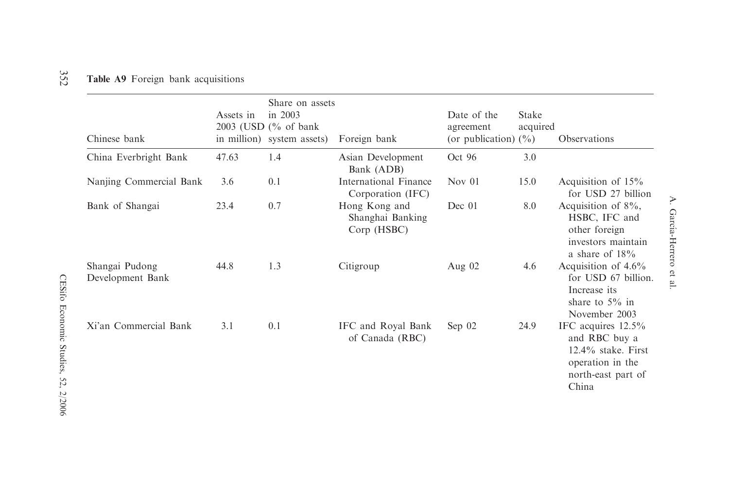| Chinese bank                       | Assets in | Share on assets<br>in $2003$<br>$2003$ (USD $\left(\% \right)$ of bank<br>in million) system assets) | Foreign bank                                     | Date of the<br>agreement<br>(or publication) $(\% )$ | <b>Stake</b><br>acquired | Observations                                                                                                    |
|------------------------------------|-----------|------------------------------------------------------------------------------------------------------|--------------------------------------------------|------------------------------------------------------|--------------------------|-----------------------------------------------------------------------------------------------------------------|
| China Everbright Bank              | 47.63     | 1.4                                                                                                  | Asian Development<br>Bank (ADB)                  | Oct 96                                               | 3.0                      |                                                                                                                 |
| Nanjing Commercial Bank            | 3.6       | 0.1                                                                                                  | International Finance<br>Corporation (IFC)       | Nov $01$                                             | 15.0                     | Acquisition of 15%<br>for USD 27 billion                                                                        |
| Bank of Shangai                    | 23.4      | 0.7                                                                                                  | Hong Kong and<br>Shanghai Banking<br>Corp (HSBC) | Dec 01                                               | 8.0                      | Acquisition of $8\%$ ,<br>HSBC, IFC and<br>other foreign<br>investors maintain<br>a share of $18\%$             |
| Shangai Pudong<br>Development Bank | 44.8      | 1.3                                                                                                  | Citigroup                                        | Aug $02$                                             | 4.6                      | Acquisition of $4.6\%$<br>for USD 67 billion.<br>Increase its<br>share to $5\%$ in<br>November 2003             |
| Xi'an Commercial Bank              | 3.1       | 0.1                                                                                                  | IFC and Royal Bank<br>of Canada (RBC)            | Sep $02$                                             | 24.9                     | IFC acquires 12.5%<br>and RBC buy a<br>$12.4\%$ stake. First<br>operation in the<br>north-east part of<br>China |

A. García-Herrero et al. A. Garcıa-Herrero et al. ´

352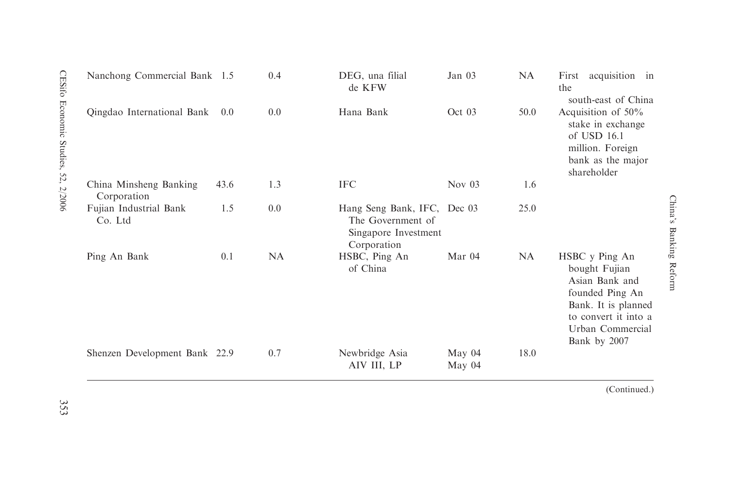| Nanchong Commercial Bank 1.5          |      | 0.4 | DEG, una filial<br>de KFW                                                               | Jan 03           | NA   | acquisition in<br>First<br>the<br>south-east of China                                                                                                   |
|---------------------------------------|------|-----|-----------------------------------------------------------------------------------------|------------------|------|---------------------------------------------------------------------------------------------------------------------------------------------------------|
| Qingdao International Bank            | 0.0  | 0.0 | Hana Bank                                                                               | Oct $03$         | 50.0 | Acquisition of 50%<br>stake in exchange<br>of USD 16.1<br>million. Foreign<br>bank as the major<br>shareholder                                          |
| China Minsheng Banking<br>Corporation | 43.6 | 1.3 | <b>IFC</b>                                                                              | Nov $03$         | 1.6  |                                                                                                                                                         |
| Fujian Industrial Bank<br>Co. Ltd     | 1.5  | 0.0 | Hang Seng Bank, IFC, Dec 03<br>The Government of<br>Singapore Investment<br>Corporation |                  | 25.0 |                                                                                                                                                         |
| Ping An Bank                          | 0.1  | NA  | HSBC, Ping An<br>of China                                                               | Mar $04$         | NA   | HSBC y Ping An<br>bought Fujian<br>Asian Bank and<br>founded Ping An<br>Bank. It is planned<br>to convert it into a<br>Urban Commercial<br>Bank by 2007 |
| Shenzen Development Bank 22.9         |      | 0.7 | Newbridge Asia<br>AIV III, LP                                                           | May 04<br>May 04 | 18.0 |                                                                                                                                                         |

(Continued.)

China's Banking Reform

China's Banking Reform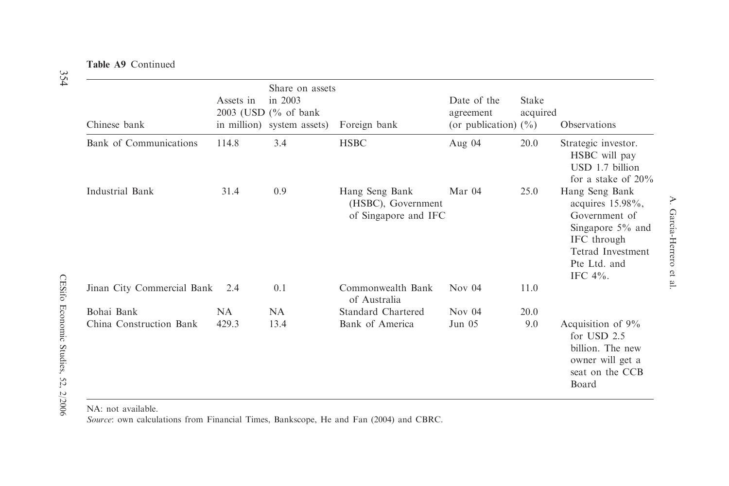Table A9 Continued

| Chinese bank               | Assets in | Share on assets<br>in $2003$<br>2003 (USD (% of bank<br>in million) system assets) | Foreign bank                                                 | Date of the<br>agreement<br>(or publication) $(\% )$ | <b>Stake</b><br>acquired | Observations                                                                                                                                      |
|----------------------------|-----------|------------------------------------------------------------------------------------|--------------------------------------------------------------|------------------------------------------------------|--------------------------|---------------------------------------------------------------------------------------------------------------------------------------------------|
| Bank of Communications     | 114.8     | 3.4                                                                                | <b>HSBC</b>                                                  | Aug 04                                               | 20.0                     | Strategic investor.<br>HSBC will pay<br>USD 1.7 billion<br>for a stake of $20\%$                                                                  |
| Industrial Bank            | 31.4      | 0.9                                                                                | Hang Seng Bank<br>(HSBC), Government<br>of Singapore and IFC | Mar 04                                               | 25.0                     | Hang Seng Bank<br>acquires $15.98\%$ ,<br>Government of<br>Singapore $5\%$ and<br>IFC through<br>Tetrad Investment<br>Pte Ltd. and<br>IFC $4\%$ . |
| Jinan City Commercial Bank | 2.4       | 0.1                                                                                | Commonwealth Bank<br>of Australia                            | Nov $04$                                             | 11.0                     |                                                                                                                                                   |
| Bohai Bank                 | NA        | NA                                                                                 | <b>Standard Chartered</b>                                    | Nov $04$                                             | 20.0                     |                                                                                                                                                   |
| China Construction Bank    | 429.3     | 13.4                                                                               | Bank of America                                              | Jun 05                                               | 9.0                      | Acquisition of $9\%$<br>for USD 2.5<br>billion. The new<br>owner will get a<br>seat on the CCB<br>Board                                           |

NA: not available.

Source: own calculations from Financial Times, Bankscope, He and Fan (2004) and CBRC.

CESifo Economic Studies, 52, 2/2006

CESifo Economic Studies, 52, 2/2006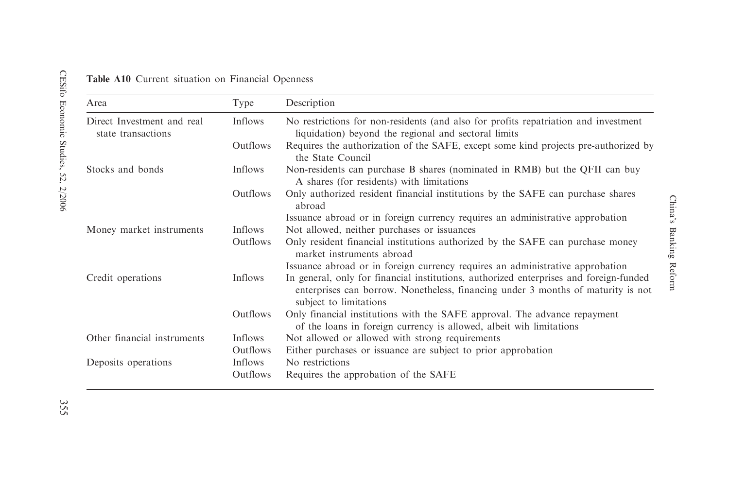|  |  |  | <b>Table A10</b> Current situation on Financial Openness |  |
|--|--|--|----------------------------------------------------------|--|
|  |  |  |                                                          |  |

| Area                                             | Type     | Description                                                                                                                                                                                          |
|--------------------------------------------------|----------|------------------------------------------------------------------------------------------------------------------------------------------------------------------------------------------------------|
| Direct Investment and real<br>state transactions | Inflows  | No restrictions for non-residents (and also for profits repatriation and investment<br>liquidation) beyond the regional and sectoral limits                                                          |
|                                                  | Outflows | Requires the authorization of the SAFE, except some kind projects pre-authorized by<br>the State Council                                                                                             |
| Stocks and bonds                                 | Inflows  | Non-residents can purchase B shares (nominated in RMB) but the QFII can buy<br>A shares (for residents) with limitations                                                                             |
|                                                  | Outflows | Only authorized resident financial institutions by the SAFE can purchase shares<br>abroad                                                                                                            |
|                                                  |          | Issuance abroad or in foreign currency requires an administrative approbation                                                                                                                        |
| Money market instruments                         | Inflows  | Not allowed, neither purchases or issuances                                                                                                                                                          |
|                                                  | Outflows | Only resident financial institutions authorized by the SAFE can purchase money<br>market instruments abroad                                                                                          |
|                                                  |          | Issuance abroad or in foreign currency requires an administrative approbation                                                                                                                        |
| Credit operations                                | Inflows  | In general, only for financial institutions, authorized enterprises and foreign-funded<br>enterprises can borrow. Nonetheless, financing under 3 months of maturity is not<br>subject to limitations |
|                                                  | Outflows | Only financial institutions with the SAFE approval. The advance repayment<br>of the loans in foreign currency is allowed, albeit wih limitations                                                     |
| Other financial instruments                      | Inflows  | Not allowed or allowed with strong requirements                                                                                                                                                      |
|                                                  | Outflows | Either purchases or issuance are subject to prior approbation                                                                                                                                        |
| Deposits operations                              | Inflows  | No restrictions                                                                                                                                                                                      |
|                                                  | Outflows | Requires the approbation of the SAFE                                                                                                                                                                 |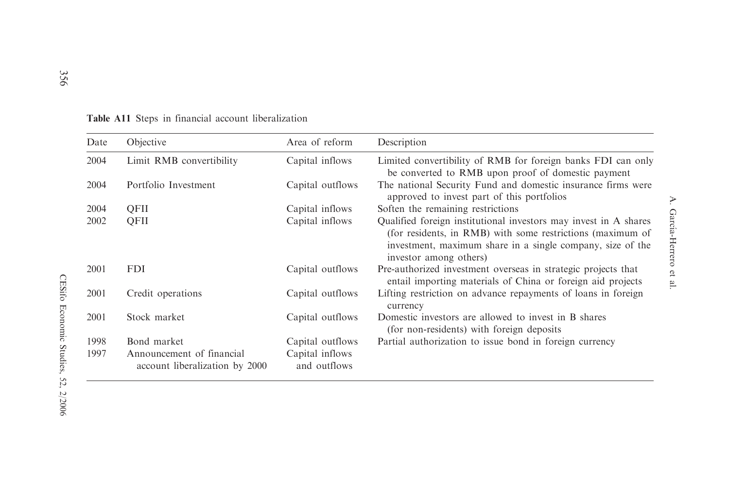| Date | Objective                                                   | Area of reform                  | Description                                                                                                                                                                                                            |
|------|-------------------------------------------------------------|---------------------------------|------------------------------------------------------------------------------------------------------------------------------------------------------------------------------------------------------------------------|
| 2004 | Limit RMB convertibility                                    | Capital inflows                 | Limited convertibility of RMB for foreign banks FDI can only<br>be converted to RMB upon proof of domestic payment                                                                                                     |
| 2004 | Portfolio Investment                                        | Capital outflows                | The national Security Fund and domestic insurance firms were<br>approved to invest part of this portfolios                                                                                                             |
| 2004 | QFII                                                        | Capital inflows                 | Soften the remaining restrictions                                                                                                                                                                                      |
| 2002 | QFII                                                        | Capital inflows                 | Qualified foreign institutional investors may invest in A shares<br>(for residents, in RMB) with some restrictions (maximum of<br>investment, maximum share in a single company, size of the<br>investor among others) |
| 2001 | <b>FDI</b>                                                  | Capital outflows                | Pre-authorized investment overseas in strategic projects that<br>entail importing materials of China or foreign aid projects                                                                                           |
| 2001 | Credit operations                                           | Capital outflows                | Lifting restriction on advance repayments of loans in foreign<br>currency                                                                                                                                              |
| 2001 | Stock market                                                | Capital outflows                | Domestic investors are allowed to invest in B shares<br>(for non-residents) with foreign deposits                                                                                                                      |
| 1998 | Bond market                                                 | Capital outflows                | Partial authorization to issue bond in foreign currency                                                                                                                                                                |
| 1997 | Announcement of financial<br>account liberalization by 2000 | Capital inflows<br>and outflows |                                                                                                                                                                                                                        |

Table A11 Steps in financial account liberalization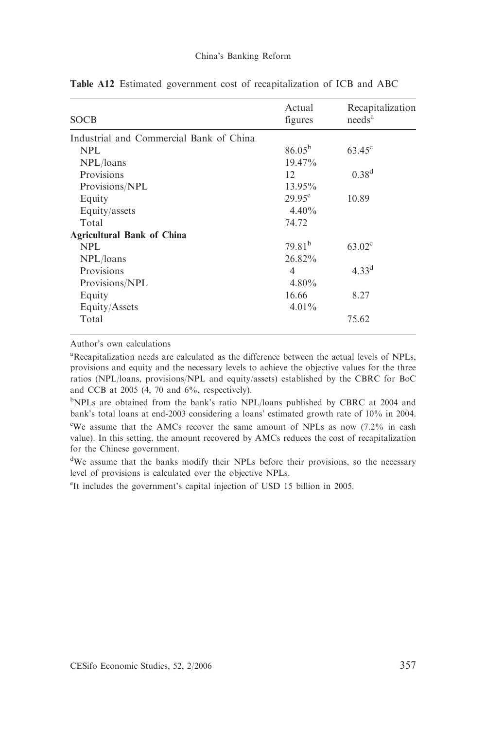| <b>SOCB</b>                             | Actual<br>figures  | Recapitalization<br>needs <sup>a</sup> |
|-----------------------------------------|--------------------|----------------------------------------|
| Industrial and Commercial Bank of China |                    |                                        |
| <b>NPL</b>                              | $86.05^{b}$        | $63.45^{\circ}$                        |
| NPL/loans                               | 19.47%             |                                        |
| Provisions                              | 12                 | $0.38^{d}$                             |
| Provisions/NPL                          | 13.95%             |                                        |
| Equity                                  | $29.95^e$          | 10.89                                  |
| Equity/assets                           | $4.40\%$           |                                        |
| Total                                   | 74.72              |                                        |
| <b>Agricultural Bank of China</b>       |                    |                                        |
| <b>NPL</b>                              | 79.81 <sup>b</sup> | $63.02^{\circ}$                        |
| NPL/loans                               | 26.82%             |                                        |
| Provisions                              | $\overline{4}$     | $4.33^{d}$                             |
| Provisions/NPL                          | $4.80\%$           |                                        |
| Equity                                  | 16.66              | 8.27                                   |
| Equity/Assets                           | $4.01\%$           |                                        |
| Total                                   |                    | 75.62                                  |

Table A12 Estimated government cost of recapitalization of ICB and ABC

Author's own calculations

<sup>a</sup>Recapitalization needs are calculated as the difference between the actual levels of NPLs, provisions and equity and the necessary levels to achieve the objective values for the three ratios (NPL/loans, provisions/NPL and equity/assets) established by the CBRC for BoC and CCB at 2005 (4, 70 and 6%, respectively).

<sup>b</sup>NPLs are obtained from the bank's ratio NPL/loans published by CBRC at 2004 and bank's total loans at end-2003 considering a loans' estimated growth rate of 10% in 2004. <sup>c</sup>We assume that the AMCs recover the same amount of NPLs as now (7.2% in cash value). In this setting, the amount recovered by AMCs reduces the cost of recapitalization for the Chinese government.

<sup>d</sup>We assume that the banks modify their NPLs before their provisions, so the necessary level of provisions is calculated over the objective NPLs.

e It includes the government's capital injection of USD 15 billion in 2005.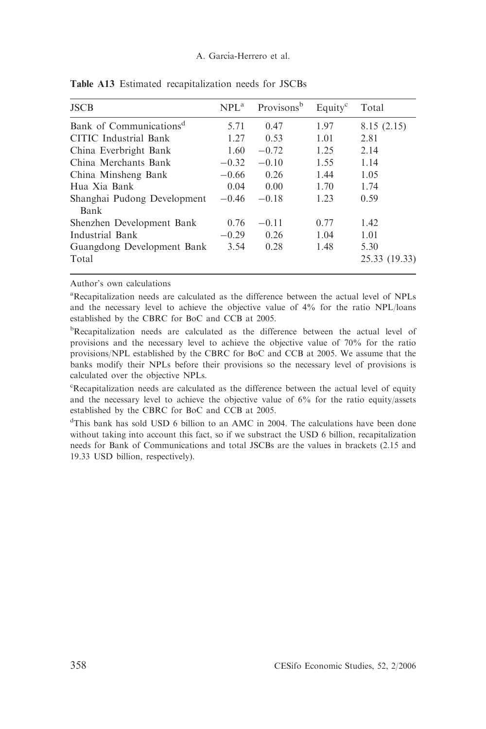| <b>JSCB</b>                         | NPL <sup>a</sup> | Provisons <sup>b</sup> | Equity <sup>c</sup> | Total         |
|-------------------------------------|------------------|------------------------|---------------------|---------------|
| Bank of Communications <sup>d</sup> | 5.71             | 0.47                   | 1.97                | 8.15(2.15)    |
| CITIC Industrial Bank               | 1.27             | 0.53                   | 1.01                | 2.81          |
| China Everbright Bank               | 1.60             | $-0.72$                | 1.25                | 2.14          |
| China Merchants Bank                | $-0.32$          | $-0.10$                | 1.55                | 1.14          |
| China Minsheng Bank                 | $-0.66$          | 0.26                   | 1.44                | 1.05          |
| Hua Xia Bank                        | 0.04             | 0.00                   | 1.70                | 1.74          |
| Shanghai Pudong Development         | $-0.46$          | $-0.18$                | 1.23                | 0.59          |
| Bank                                |                  |                        |                     |               |
| Shenzhen Development Bank           | 0.76             | $-0.11$                | 0.77                | 1.42          |
| Industrial Bank                     | $-0.29$          | 0.26                   | 1.04                | 1.01          |
| Guangdong Development Bank          | 3.54             | 0.28                   | 1.48                | 5.30          |
| Total                               |                  |                        |                     | 25.33 (19.33) |

Table A13 Estimated recapitalization needs for JSCBs

Author's own calculations

<sup>a</sup>Recapitalization needs are calculated as the difference between the actual level of NPLs and the necessary level to achieve the objective value of 4% for the ratio NPL/loans established by the CBRC for BoC and CCB at 2005.

<sup>b</sup>Recapitalization needs are calculated as the difference between the actual level of provisions and the necessary level to achieve the objective value of 70% for the ratio provisions/NPL established by the CBRC for BoC and CCB at 2005. We assume that the banks modify their NPLs before their provisions so the necessary level of provisions is calculated over the objective NPLs.

<sup>c</sup>Recapitalization needs are calculated as the difference between the actual level of equity and the necessary level to achieve the objective value of  $6\%$  for the ratio equity/assets established by the CBRC for BoC and CCB at 2005.

d This bank has sold USD 6 billion to an AMC in 2004. The calculations have been done without taking into account this fact, so if we substract the USD 6 billion, recapitalization needs for Bank of Communications and total JSCBs are the values in brackets (2.15 and 19.33 USD billion, respectively).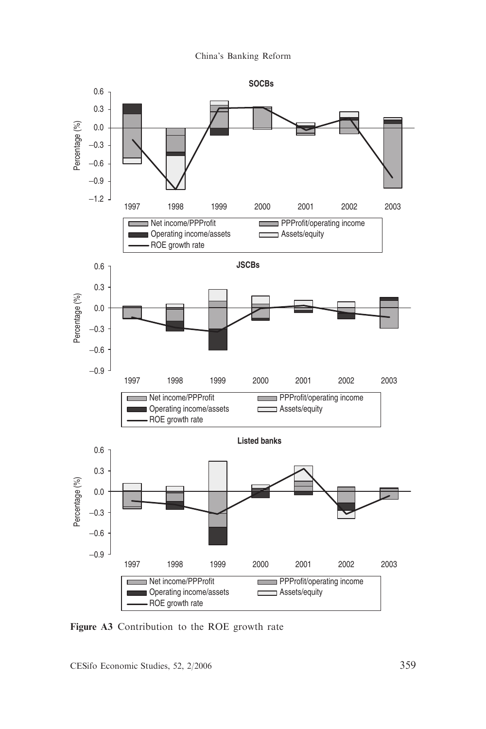

Figure A3 Contribution to the ROE growth rate

CESifo Economic Studies, 52, 2/2006 359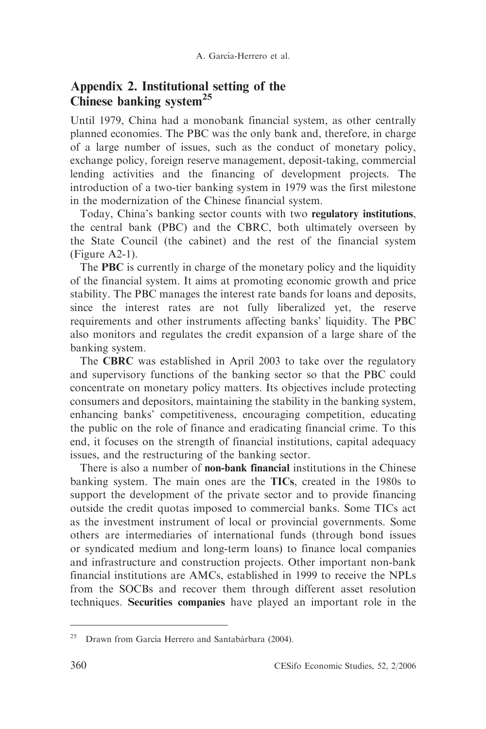# Appendix 2. Institutional setting of the Chinese banking system $^{25}$

Until 1979, China had a monobank financial system, as other centrally planned economies. The PBC was the only bank and, therefore, in charge of a large number of issues, such as the conduct of monetary policy, exchange policy, foreign reserve management, deposit-taking, commercial lending activities and the financing of development projects. The introduction of a two-tier banking system in 1979 was the first milestone in the modernization of the Chinese financial system.

Today, China's banking sector counts with two regulatory institutions, the central bank (PBC) and the CBRC, both ultimately overseen by the State Council (the cabinet) and the rest of the financial system (Figure A2-1).

The PBC is currently in charge of the monetary policy and the liquidity of the financial system. It aims at promoting economic growth and price stability. The PBC manages the interest rate bands for loans and deposits, since the interest rates are not fully liberalized yet, the reserve requirements and other instruments affecting banks' liquidity. The PBC also monitors and regulates the credit expansion of a large share of the banking system.

The CBRC was established in April 2003 to take over the regulatory and supervisory functions of the banking sector so that the PBC could concentrate on monetary policy matters. Its objectives include protecting consumers and depositors, maintaining the stability in the banking system, enhancing banks' competitiveness, encouraging competition, educating the public on the role of finance and eradicating financial crime. To this end, it focuses on the strength of financial institutions, capital adequacy issues, and the restructuring of the banking sector.

There is also a number of **non-bank financial** institutions in the Chinese banking system. The main ones are the TICs, created in the 1980s to support the development of the private sector and to provide financing outside the credit quotas imposed to commercial banks. Some TICs act as the investment instrument of local or provincial governments. Some others are intermediaries of international funds (through bond issues or syndicated medium and long-term loans) to finance local companies and infrastructure and construction projects. Other important non-bank financial institutions are AMCs, established in 1999 to receive the NPLs from the SOCBs and recover them through different asset resolution techniques. Securities companies have played an important role in the

Drawn from García Herrero and Santabárbara (2004).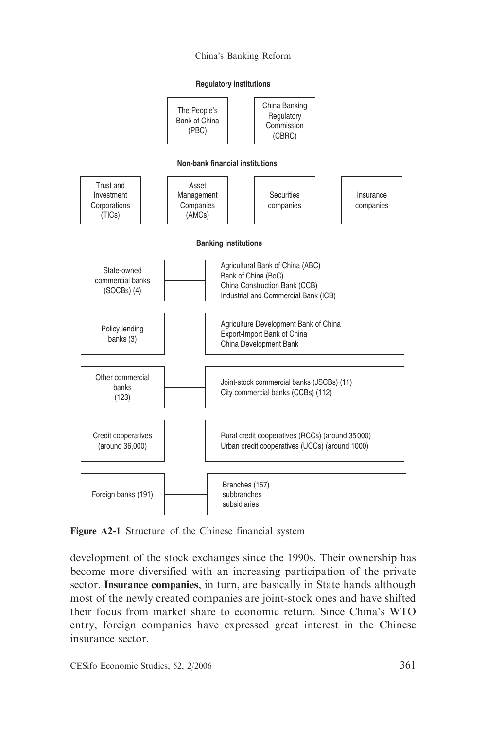#### China's Banking Reform

#### **Regulatory institutions**



Figure A2-1 Structure of the Chinese financial system

development of the stock exchanges since the 1990s. Their ownership has become more diversified with an increasing participation of the private sector. Insurance companies, in turn, are basically in State hands although most of the newly created companies are joint-stock ones and have shifted their focus from market share to economic return. Since China's WTO entry, foreign companies have expressed great interest in the Chinese insurance sector.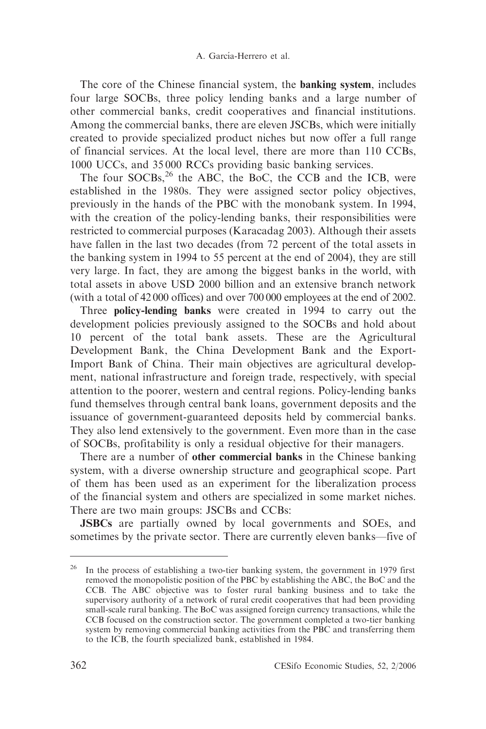The core of the Chinese financial system, the banking system, includes four large SOCBs, three policy lending banks and a large number of other commercial banks, credit cooperatives and financial institutions. Among the commercial banks, there are eleven JSCBs, which were initially created to provide specialized product niches but now offer a full range of financial services. At the local level, there are more than 110 CCBs, 1000 UCCs, and 35 000 RCCs providing basic banking services.

The four SOCBs,<sup>26</sup> the ABC, the BoC, the CCB and the ICB, were established in the 1980s. They were assigned sector policy objectives, previously in the hands of the PBC with the monobank system. In 1994, with the creation of the policy-lending banks, their responsibilities were restricted to commercial purposes (Karacadag 2003). Although their assets have fallen in the last two decades (from 72 percent of the total assets in the banking system in 1994 to 55 percent at the end of 2004), they are still very large. In fact, they are among the biggest banks in the world, with total assets in above USD 2000 billion and an extensive branch network (with a total of 42 000 offices) and over 700 000 employees at the end of 2002.

Three policy-lending banks were created in 1994 to carry out the development policies previously assigned to the SOCBs and hold about 10 percent of the total bank assets. These are the Agricultural Development Bank, the China Development Bank and the Export-Import Bank of China. Their main objectives are agricultural development, national infrastructure and foreign trade, respectively, with special attention to the poorer, western and central regions. Policy-lending banks fund themselves through central bank loans, government deposits and the issuance of government-guaranteed deposits held by commercial banks. They also lend extensively to the government. Even more than in the case of SOCBs, profitability is only a residual objective for their managers.

There are a number of other commercial banks in the Chinese banking system, with a diverse ownership structure and geographical scope. Part of them has been used as an experiment for the liberalization process of the financial system and others are specialized in some market niches. There are two main groups: JSCBs and CCBs:

JSBCs are partially owned by local governments and SOEs, and sometimes by the private sector. There are currently eleven banks—five of

<sup>&</sup>lt;sup>26</sup> In the process of establishing a two-tier banking system, the government in 1979 first removed the monopolistic position of the PBC by establishing the ABC, the BoC and the CCB. The ABC objective was to foster rural banking business and to take the supervisory authority of a network of rural credit cooperatives that had been providing small-scale rural banking. The BoC was assigned foreign currency transactions, while the CCB focused on the construction sector. The government completed a two-tier banking system by removing commercial banking activities from the PBC and transferring them to the ICB, the fourth specialized bank, established in 1984.